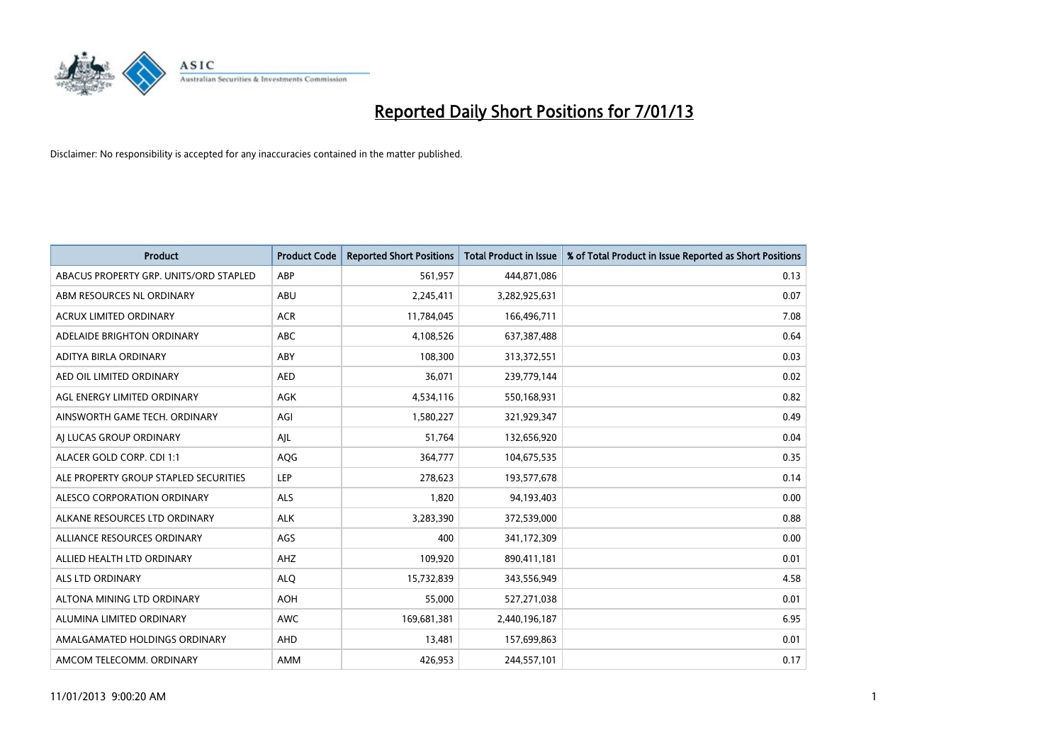

| <b>Product</b>                         | <b>Product Code</b> | <b>Reported Short Positions</b> | <b>Total Product in Issue</b> | % of Total Product in Issue Reported as Short Positions |
|----------------------------------------|---------------------|---------------------------------|-------------------------------|---------------------------------------------------------|
| ABACUS PROPERTY GRP. UNITS/ORD STAPLED | ABP                 | 561,957                         | 444,871,086                   | 0.13                                                    |
| ABM RESOURCES NL ORDINARY              | ABU                 | 2,245,411                       | 3,282,925,631                 | 0.07                                                    |
| <b>ACRUX LIMITED ORDINARY</b>          | <b>ACR</b>          | 11,784,045                      | 166,496,711                   | 7.08                                                    |
| ADELAIDE BRIGHTON ORDINARY             | <b>ABC</b>          | 4,108,526                       | 637,387,488                   | 0.64                                                    |
| <b>ADITYA BIRLA ORDINARY</b>           | ABY                 | 108,300                         | 313,372,551                   | 0.03                                                    |
| AED OIL LIMITED ORDINARY               | <b>AED</b>          | 36,071                          | 239,779,144                   | 0.02                                                    |
| AGL ENERGY LIMITED ORDINARY            | <b>AGK</b>          | 4,534,116                       | 550,168,931                   | 0.82                                                    |
| AINSWORTH GAME TECH. ORDINARY          | AGI                 | 1,580,227                       | 321,929,347                   | 0.49                                                    |
| AI LUCAS GROUP ORDINARY                | AJL                 | 51,764                          | 132,656,920                   | 0.04                                                    |
| ALACER GOLD CORP. CDI 1:1              | AQG                 | 364,777                         | 104,675,535                   | 0.35                                                    |
| ALE PROPERTY GROUP STAPLED SECURITIES  | <b>LEP</b>          | 278,623                         | 193,577,678                   | 0.14                                                    |
| <b>ALESCO CORPORATION ORDINARY</b>     | <b>ALS</b>          | 1,820                           | 94,193,403                    | 0.00                                                    |
| ALKANE RESOURCES LTD ORDINARY          | <b>ALK</b>          | 3,283,390                       | 372,539,000                   | 0.88                                                    |
| ALLIANCE RESOURCES ORDINARY            | AGS                 | 400                             | 341,172,309                   | 0.00                                                    |
| ALLIED HEALTH LTD ORDINARY             | AHZ                 | 109,920                         | 890,411,181                   | 0.01                                                    |
| ALS LTD ORDINARY                       | <b>ALO</b>          | 15,732,839                      | 343,556,949                   | 4.58                                                    |
| ALTONA MINING LTD ORDINARY             | <b>AOH</b>          | 55,000                          | 527,271,038                   | 0.01                                                    |
| ALUMINA LIMITED ORDINARY               | <b>AWC</b>          | 169,681,381                     | 2,440,196,187                 | 6.95                                                    |
| AMALGAMATED HOLDINGS ORDINARY          | AHD                 | 13,481                          | 157,699,863                   | 0.01                                                    |
| AMCOM TELECOMM. ORDINARY               | <b>AMM</b>          | 426,953                         | 244,557,101                   | 0.17                                                    |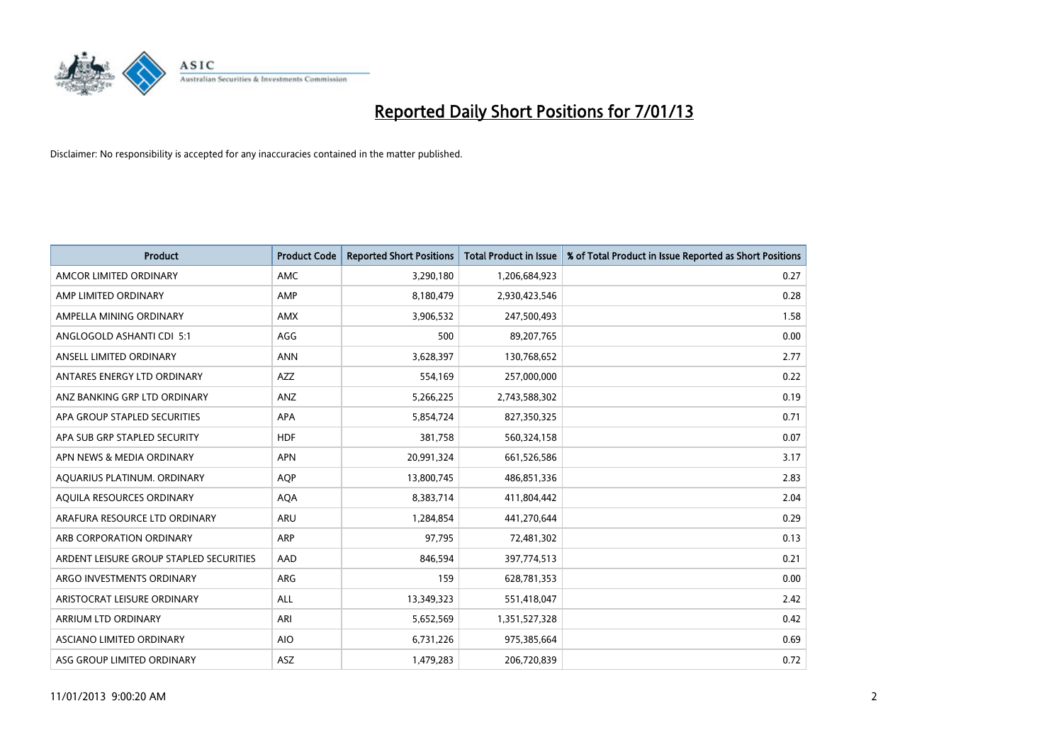

| <b>Product</b>                          | <b>Product Code</b> | <b>Reported Short Positions</b> | <b>Total Product in Issue</b> | % of Total Product in Issue Reported as Short Positions |
|-----------------------------------------|---------------------|---------------------------------|-------------------------------|---------------------------------------------------------|
| AMCOR LIMITED ORDINARY                  | <b>AMC</b>          | 3,290,180                       | 1,206,684,923                 | 0.27                                                    |
| AMP LIMITED ORDINARY                    | AMP                 | 8,180,479                       | 2,930,423,546                 | 0.28                                                    |
| AMPELLA MINING ORDINARY                 | <b>AMX</b>          | 3,906,532                       | 247,500,493                   | 1.58                                                    |
| ANGLOGOLD ASHANTI CDI 5:1               | AGG                 | 500                             | 89,207,765                    | 0.00                                                    |
| ANSELL LIMITED ORDINARY                 | <b>ANN</b>          | 3,628,397                       | 130,768,652                   | 2.77                                                    |
| ANTARES ENERGY LTD ORDINARY             | <b>AZZ</b>          | 554,169                         | 257,000,000                   | 0.22                                                    |
| ANZ BANKING GRP LTD ORDINARY            | ANZ                 | 5,266,225                       | 2,743,588,302                 | 0.19                                                    |
| APA GROUP STAPLED SECURITIES            | <b>APA</b>          | 5,854,724                       | 827,350,325                   | 0.71                                                    |
| APA SUB GRP STAPLED SECURITY            | <b>HDF</b>          | 381,758                         | 560,324,158                   | 0.07                                                    |
| APN NEWS & MEDIA ORDINARY               | <b>APN</b>          | 20,991,324                      | 661,526,586                   | 3.17                                                    |
| AQUARIUS PLATINUM. ORDINARY             | <b>AOP</b>          | 13,800,745                      | 486,851,336                   | 2.83                                                    |
| AQUILA RESOURCES ORDINARY               | <b>AQA</b>          | 8,383,714                       | 411,804,442                   | 2.04                                                    |
| ARAFURA RESOURCE LTD ORDINARY           | <b>ARU</b>          | 1,284,854                       | 441,270,644                   | 0.29                                                    |
| ARB CORPORATION ORDINARY                | <b>ARP</b>          | 97,795                          | 72,481,302                    | 0.13                                                    |
| ARDENT LEISURE GROUP STAPLED SECURITIES | AAD                 | 846,594                         | 397,774,513                   | 0.21                                                    |
| ARGO INVESTMENTS ORDINARY               | <b>ARG</b>          | 159                             | 628,781,353                   | 0.00                                                    |
| ARISTOCRAT LEISURE ORDINARY             | <b>ALL</b>          | 13,349,323                      | 551,418,047                   | 2.42                                                    |
| ARRIUM LTD ORDINARY                     | ARI                 | 5,652,569                       | 1,351,527,328                 | 0.42                                                    |
| ASCIANO LIMITED ORDINARY                | <b>AIO</b>          | 6,731,226                       | 975,385,664                   | 0.69                                                    |
| ASG GROUP LIMITED ORDINARY              | ASZ                 | 1,479,283                       | 206,720,839                   | 0.72                                                    |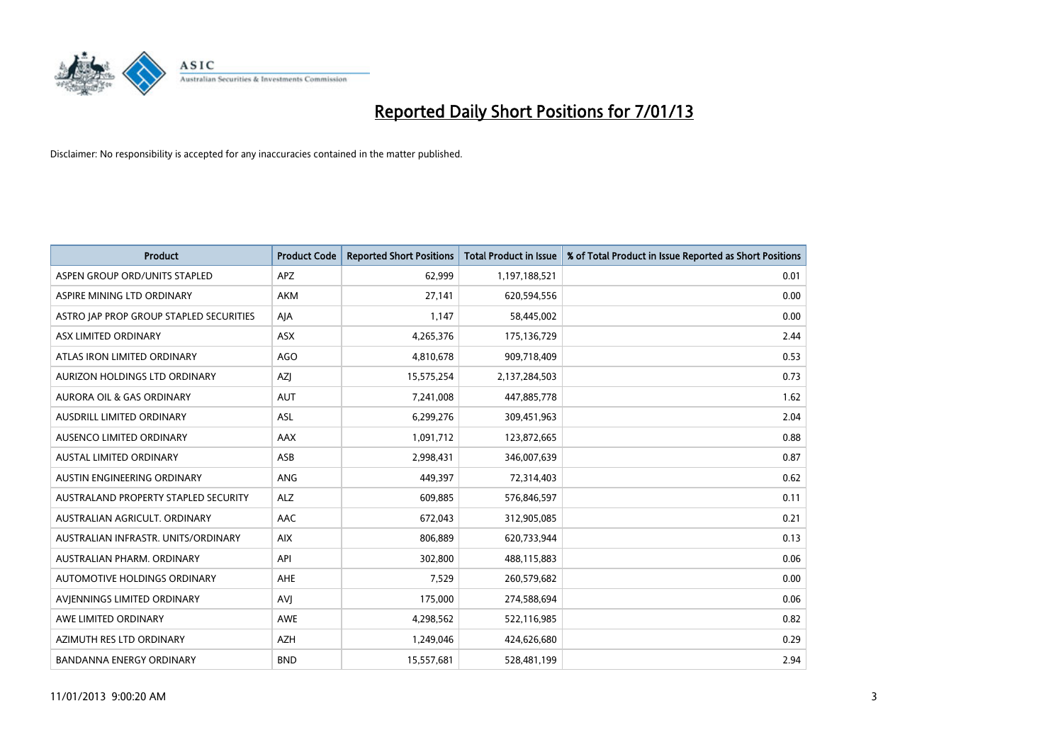

| <b>Product</b>                              | <b>Product Code</b> | <b>Reported Short Positions</b> | <b>Total Product in Issue</b> | % of Total Product in Issue Reported as Short Positions |
|---------------------------------------------|---------------------|---------------------------------|-------------------------------|---------------------------------------------------------|
| ASPEN GROUP ORD/UNITS STAPLED               | <b>APZ</b>          | 62,999                          | 1,197,188,521                 | 0.01                                                    |
| ASPIRE MINING LTD ORDINARY                  | <b>AKM</b>          | 27,141                          | 620,594,556                   | 0.00                                                    |
| ASTRO JAP PROP GROUP STAPLED SECURITIES     | AJA                 | 1,147                           | 58,445,002                    | 0.00                                                    |
| ASX LIMITED ORDINARY                        | ASX                 | 4,265,376                       | 175,136,729                   | 2.44                                                    |
| ATLAS IRON LIMITED ORDINARY                 | AGO                 | 4,810,678                       | 909,718,409                   | 0.53                                                    |
| AURIZON HOLDINGS LTD ORDINARY               | <b>AZI</b>          | 15,575,254                      | 2,137,284,503                 | 0.73                                                    |
| AURORA OIL & GAS ORDINARY                   | <b>AUT</b>          | 7,241,008                       | 447,885,778                   | 1.62                                                    |
| AUSDRILL LIMITED ORDINARY                   | ASL                 | 6,299,276                       | 309,451,963                   | 2.04                                                    |
| AUSENCO LIMITED ORDINARY                    | AAX                 | 1,091,712                       | 123,872,665                   | 0.88                                                    |
| <b>AUSTAL LIMITED ORDINARY</b>              | ASB                 | 2,998,431                       | 346,007,639                   | 0.87                                                    |
| AUSTIN ENGINEERING ORDINARY                 | ANG                 | 449,397                         | 72,314,403                    | 0.62                                                    |
| <b>AUSTRALAND PROPERTY STAPLED SECURITY</b> | <b>ALZ</b>          | 609,885                         | 576,846,597                   | 0.11                                                    |
| AUSTRALIAN AGRICULT. ORDINARY               | AAC                 | 672,043                         | 312,905,085                   | 0.21                                                    |
| AUSTRALIAN INFRASTR. UNITS/ORDINARY         | <b>AIX</b>          | 806,889                         | 620,733,944                   | 0.13                                                    |
| AUSTRALIAN PHARM, ORDINARY                  | API                 | 302,800                         | 488,115,883                   | 0.06                                                    |
| AUTOMOTIVE HOLDINGS ORDINARY                | AHE                 | 7,529                           | 260,579,682                   | 0.00                                                    |
| AVIENNINGS LIMITED ORDINARY                 | AVI                 | 175,000                         | 274,588,694                   | 0.06                                                    |
| AWE LIMITED ORDINARY                        | <b>AWE</b>          | 4,298,562                       | 522,116,985                   | 0.82                                                    |
| AZIMUTH RES LTD ORDINARY                    | <b>AZH</b>          | 1,249,046                       | 424,626,680                   | 0.29                                                    |
| <b>BANDANNA ENERGY ORDINARY</b>             | <b>BND</b>          | 15,557,681                      | 528,481,199                   | 2.94                                                    |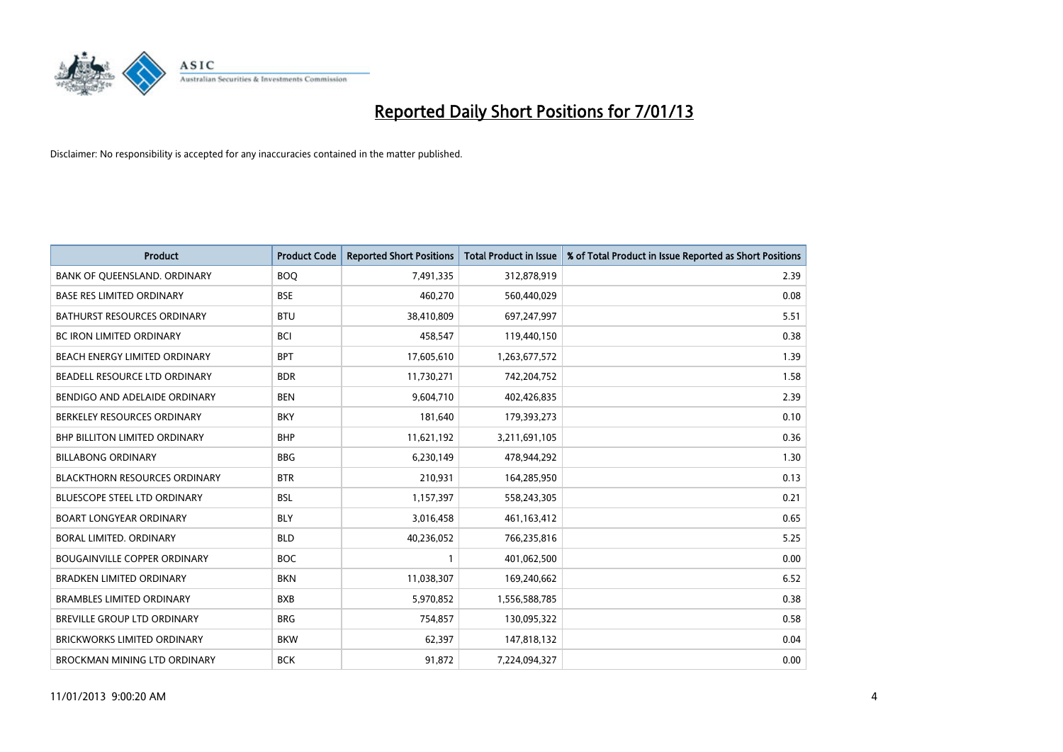

| <b>Product</b>                       | <b>Product Code</b> | <b>Reported Short Positions</b> | <b>Total Product in Issue</b> | % of Total Product in Issue Reported as Short Positions |
|--------------------------------------|---------------------|---------------------------------|-------------------------------|---------------------------------------------------------|
| BANK OF QUEENSLAND. ORDINARY         | <b>BOQ</b>          | 7,491,335                       | 312,878,919                   | 2.39                                                    |
| <b>BASE RES LIMITED ORDINARY</b>     | <b>BSE</b>          | 460,270                         | 560,440,029                   | 0.08                                                    |
| <b>BATHURST RESOURCES ORDINARY</b>   | <b>BTU</b>          | 38,410,809                      | 697,247,997                   | 5.51                                                    |
| BC IRON LIMITED ORDINARY             | <b>BCI</b>          | 458,547                         | 119,440,150                   | 0.38                                                    |
| <b>BEACH ENERGY LIMITED ORDINARY</b> | <b>BPT</b>          | 17,605,610                      | 1,263,677,572                 | 1.39                                                    |
| BEADELL RESOURCE LTD ORDINARY        | <b>BDR</b>          | 11,730,271                      | 742,204,752                   | 1.58                                                    |
| BENDIGO AND ADELAIDE ORDINARY        | <b>BEN</b>          | 9,604,710                       | 402,426,835                   | 2.39                                                    |
| BERKELEY RESOURCES ORDINARY          | <b>BKY</b>          | 181,640                         | 179,393,273                   | 0.10                                                    |
| BHP BILLITON LIMITED ORDINARY        | <b>BHP</b>          | 11,621,192                      | 3,211,691,105                 | 0.36                                                    |
| <b>BILLABONG ORDINARY</b>            | <b>BBG</b>          | 6,230,149                       | 478,944,292                   | 1.30                                                    |
| <b>BLACKTHORN RESOURCES ORDINARY</b> | <b>BTR</b>          | 210,931                         | 164,285,950                   | 0.13                                                    |
| <b>BLUESCOPE STEEL LTD ORDINARY</b>  | <b>BSL</b>          | 1,157,397                       | 558,243,305                   | 0.21                                                    |
| <b>BOART LONGYEAR ORDINARY</b>       | <b>BLY</b>          | 3,016,458                       | 461,163,412                   | 0.65                                                    |
| <b>BORAL LIMITED, ORDINARY</b>       | <b>BLD</b>          | 40,236,052                      | 766,235,816                   | 5.25                                                    |
| <b>BOUGAINVILLE COPPER ORDINARY</b>  | <b>BOC</b>          |                                 | 401,062,500                   | 0.00                                                    |
| <b>BRADKEN LIMITED ORDINARY</b>      | <b>BKN</b>          | 11,038,307                      | 169,240,662                   | 6.52                                                    |
| <b>BRAMBLES LIMITED ORDINARY</b>     | <b>BXB</b>          | 5,970,852                       | 1,556,588,785                 | 0.38                                                    |
| BREVILLE GROUP LTD ORDINARY          | <b>BRG</b>          | 754,857                         | 130,095,322                   | 0.58                                                    |
| <b>BRICKWORKS LIMITED ORDINARY</b>   | <b>BKW</b>          | 62,397                          | 147,818,132                   | 0.04                                                    |
| BROCKMAN MINING LTD ORDINARY         | <b>BCK</b>          | 91,872                          | 7.224.094.327                 | 0.00                                                    |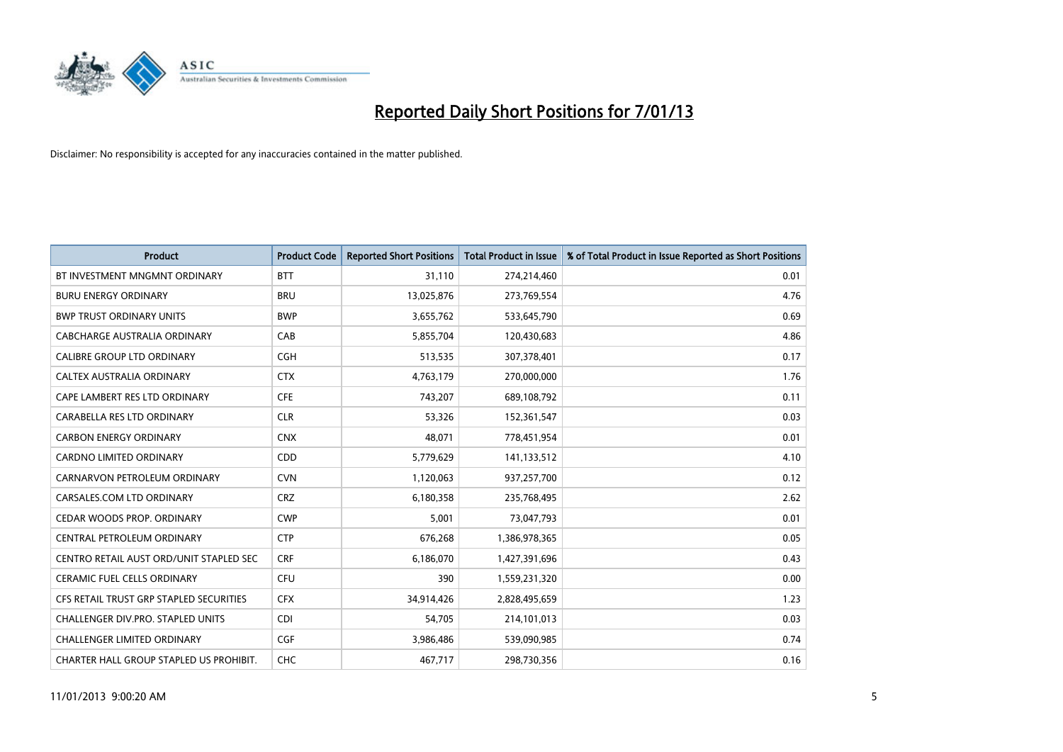

| <b>Product</b>                          | <b>Product Code</b> | <b>Reported Short Positions</b> | <b>Total Product in Issue</b> | % of Total Product in Issue Reported as Short Positions |
|-----------------------------------------|---------------------|---------------------------------|-------------------------------|---------------------------------------------------------|
| BT INVESTMENT MNGMNT ORDINARY           | <b>BTT</b>          | 31,110                          | 274,214,460                   | 0.01                                                    |
| <b>BURU ENERGY ORDINARY</b>             | <b>BRU</b>          | 13,025,876                      | 273,769,554                   | 4.76                                                    |
| <b>BWP TRUST ORDINARY UNITS</b>         | <b>BWP</b>          | 3,655,762                       | 533,645,790                   | 0.69                                                    |
| CABCHARGE AUSTRALIA ORDINARY            | CAB                 | 5,855,704                       | 120,430,683                   | 4.86                                                    |
| <b>CALIBRE GROUP LTD ORDINARY</b>       | <b>CGH</b>          | 513,535                         | 307,378,401                   | 0.17                                                    |
| CALTEX AUSTRALIA ORDINARY               | <b>CTX</b>          | 4,763,179                       | 270,000,000                   | 1.76                                                    |
| CAPE LAMBERT RES LTD ORDINARY           | <b>CFE</b>          | 743.207                         | 689,108,792                   | 0.11                                                    |
| CARABELLA RES LTD ORDINARY              | <b>CLR</b>          | 53,326                          | 152,361,547                   | 0.03                                                    |
| <b>CARBON ENERGY ORDINARY</b>           | <b>CNX</b>          | 48,071                          | 778,451,954                   | 0.01                                                    |
| <b>CARDNO LIMITED ORDINARY</b>          | CDD                 | 5,779,629                       | 141,133,512                   | 4.10                                                    |
| CARNARVON PETROLEUM ORDINARY            | <b>CVN</b>          | 1,120,063                       | 937,257,700                   | 0.12                                                    |
| CARSALES.COM LTD ORDINARY               | <b>CRZ</b>          | 6,180,358                       | 235,768,495                   | 2.62                                                    |
| <b>CEDAR WOODS PROP. ORDINARY</b>       | <b>CWP</b>          | 5,001                           | 73,047,793                    | 0.01                                                    |
| <b>CENTRAL PETROLEUM ORDINARY</b>       | <b>CTP</b>          | 676,268                         | 1,386,978,365                 | 0.05                                                    |
| CENTRO RETAIL AUST ORD/UNIT STAPLED SEC | <b>CRF</b>          | 6,186,070                       | 1,427,391,696                 | 0.43                                                    |
| CERAMIC FUEL CELLS ORDINARY             | <b>CFU</b>          | 390                             | 1,559,231,320                 | 0.00                                                    |
| CFS RETAIL TRUST GRP STAPLED SECURITIES | <b>CFX</b>          | 34,914,426                      | 2,828,495,659                 | 1.23                                                    |
| CHALLENGER DIV.PRO. STAPLED UNITS       | <b>CDI</b>          | 54,705                          | 214,101,013                   | 0.03                                                    |
| <b>CHALLENGER LIMITED ORDINARY</b>      | <b>CGF</b>          | 3,986,486                       | 539,090,985                   | 0.74                                                    |
| CHARTER HALL GROUP STAPLED US PROHIBIT. | <b>CHC</b>          | 467,717                         | 298,730,356                   | 0.16                                                    |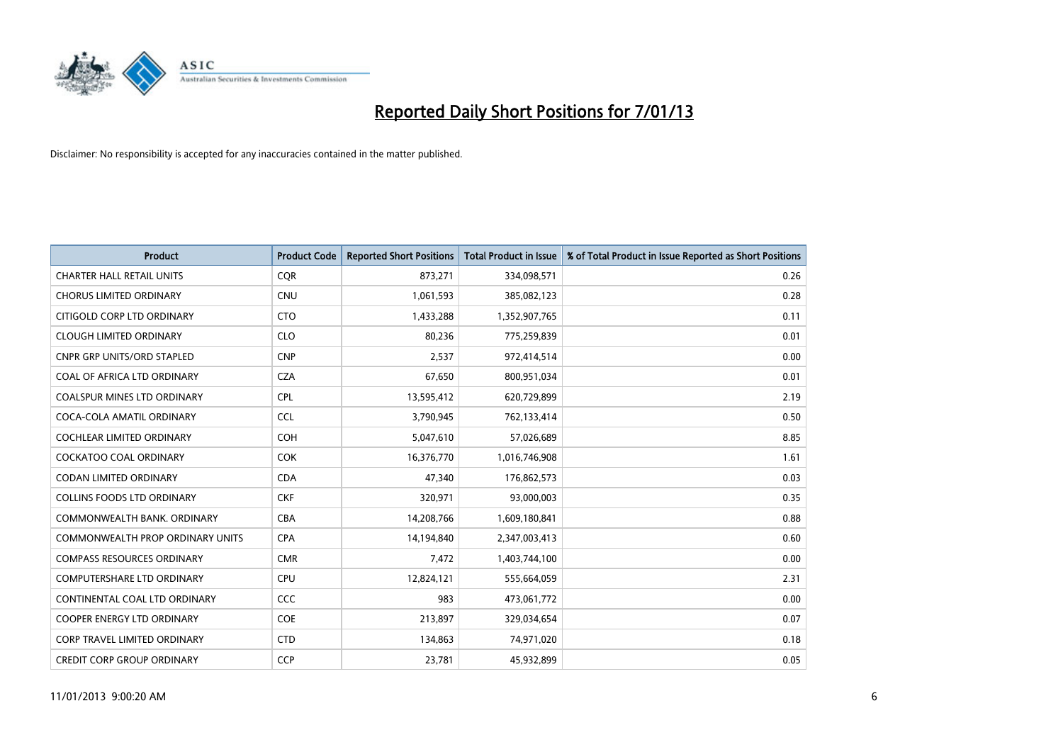

| <b>Product</b>                          | <b>Product Code</b> | <b>Reported Short Positions</b> | <b>Total Product in Issue</b> | % of Total Product in Issue Reported as Short Positions |
|-----------------------------------------|---------------------|---------------------------------|-------------------------------|---------------------------------------------------------|
| <b>CHARTER HALL RETAIL UNITS</b>        | <b>COR</b>          | 873,271                         | 334,098,571                   | 0.26                                                    |
| <b>CHORUS LIMITED ORDINARY</b>          | <b>CNU</b>          | 1,061,593                       | 385,082,123                   | 0.28                                                    |
| CITIGOLD CORP LTD ORDINARY              | <b>CTO</b>          | 1,433,288                       | 1,352,907,765                 | 0.11                                                    |
| <b>CLOUGH LIMITED ORDINARY</b>          | <b>CLO</b>          | 80,236                          | 775,259,839                   | 0.01                                                    |
| <b>CNPR GRP UNITS/ORD STAPLED</b>       | <b>CNP</b>          | 2,537                           | 972,414,514                   | 0.00                                                    |
| COAL OF AFRICA LTD ORDINARY             | <b>CZA</b>          | 67,650                          | 800,951,034                   | 0.01                                                    |
| <b>COALSPUR MINES LTD ORDINARY</b>      | <b>CPL</b>          | 13,595,412                      | 620,729,899                   | 2.19                                                    |
| COCA-COLA AMATIL ORDINARY               | <b>CCL</b>          | 3,790,945                       | 762,133,414                   | 0.50                                                    |
| <b>COCHLEAR LIMITED ORDINARY</b>        | <b>COH</b>          | 5,047,610                       | 57,026,689                    | 8.85                                                    |
| <b>COCKATOO COAL ORDINARY</b>           | <b>COK</b>          | 16,376,770                      | 1,016,746,908                 | 1.61                                                    |
| CODAN LIMITED ORDINARY                  | <b>CDA</b>          | 47,340                          | 176,862,573                   | 0.03                                                    |
| <b>COLLINS FOODS LTD ORDINARY</b>       | <b>CKF</b>          | 320,971                         | 93,000,003                    | 0.35                                                    |
| COMMONWEALTH BANK, ORDINARY             | <b>CBA</b>          | 14,208,766                      | 1,609,180,841                 | 0.88                                                    |
| <b>COMMONWEALTH PROP ORDINARY UNITS</b> | <b>CPA</b>          | 14,194,840                      | 2,347,003,413                 | 0.60                                                    |
| <b>COMPASS RESOURCES ORDINARY</b>       | <b>CMR</b>          | 7,472                           | 1,403,744,100                 | 0.00                                                    |
| COMPUTERSHARE LTD ORDINARY              | CPU                 | 12,824,121                      | 555,664,059                   | 2.31                                                    |
| CONTINENTAL COAL LTD ORDINARY           | CCC                 | 983                             | 473,061,772                   | 0.00                                                    |
| COOPER ENERGY LTD ORDINARY              | <b>COE</b>          | 213,897                         | 329,034,654                   | 0.07                                                    |
| <b>CORP TRAVEL LIMITED ORDINARY</b>     | <b>CTD</b>          | 134,863                         | 74,971,020                    | 0.18                                                    |
| <b>CREDIT CORP GROUP ORDINARY</b>       | <b>CCP</b>          | 23,781                          | 45,932,899                    | 0.05                                                    |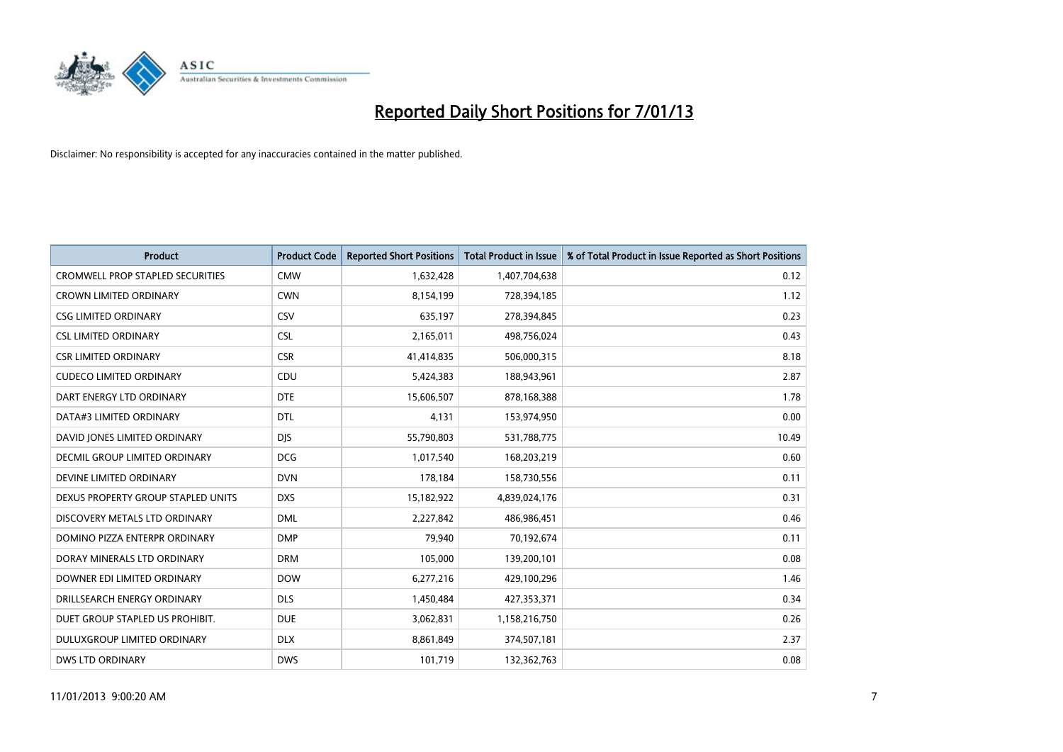

| <b>Product</b>                          | <b>Product Code</b> | <b>Reported Short Positions</b> | <b>Total Product in Issue</b> | % of Total Product in Issue Reported as Short Positions |
|-----------------------------------------|---------------------|---------------------------------|-------------------------------|---------------------------------------------------------|
| <b>CROMWELL PROP STAPLED SECURITIES</b> | <b>CMW</b>          | 1,632,428                       | 1,407,704,638                 | 0.12                                                    |
| <b>CROWN LIMITED ORDINARY</b>           | <b>CWN</b>          | 8,154,199                       | 728,394,185                   | 1.12                                                    |
| <b>CSG LIMITED ORDINARY</b>             | CSV                 | 635,197                         | 278,394,845                   | 0.23                                                    |
| <b>CSL LIMITED ORDINARY</b>             | <b>CSL</b>          | 2,165,011                       | 498,756,024                   | 0.43                                                    |
| <b>CSR LIMITED ORDINARY</b>             | <b>CSR</b>          | 41,414,835                      | 506,000,315                   | 8.18                                                    |
| <b>CUDECO LIMITED ORDINARY</b>          | CDU                 | 5,424,383                       | 188,943,961                   | 2.87                                                    |
| DART ENERGY LTD ORDINARY                | <b>DTE</b>          | 15,606,507                      | 878,168,388                   | 1.78                                                    |
| DATA#3 LIMITED ORDINARY                 | <b>DTL</b>          | 4,131                           | 153,974,950                   | 0.00                                                    |
| DAVID JONES LIMITED ORDINARY            | <b>DIS</b>          | 55,790,803                      | 531,788,775                   | 10.49                                                   |
| DECMIL GROUP LIMITED ORDINARY           | <b>DCG</b>          | 1,017,540                       | 168,203,219                   | 0.60                                                    |
| DEVINE LIMITED ORDINARY                 | <b>DVN</b>          | 178,184                         | 158,730,556                   | 0.11                                                    |
| DEXUS PROPERTY GROUP STAPLED UNITS      | <b>DXS</b>          | 15,182,922                      | 4,839,024,176                 | 0.31                                                    |
| DISCOVERY METALS LTD ORDINARY           | <b>DML</b>          | 2,227,842                       | 486,986,451                   | 0.46                                                    |
| DOMINO PIZZA ENTERPR ORDINARY           | <b>DMP</b>          | 79,940                          | 70,192,674                    | 0.11                                                    |
| DORAY MINERALS LTD ORDINARY             | <b>DRM</b>          | 105,000                         | 139,200,101                   | 0.08                                                    |
| DOWNER EDI LIMITED ORDINARY             | <b>DOW</b>          | 6,277,216                       | 429,100,296                   | 1.46                                                    |
| DRILLSEARCH ENERGY ORDINARY             | <b>DLS</b>          | 1,450,484                       | 427,353,371                   | 0.34                                                    |
| DUET GROUP STAPLED US PROHIBIT.         | <b>DUE</b>          | 3,062,831                       | 1,158,216,750                 | 0.26                                                    |
| DULUXGROUP LIMITED ORDINARY             | <b>DLX</b>          | 8,861,849                       | 374,507,181                   | 2.37                                                    |
| <b>DWS LTD ORDINARY</b>                 | <b>DWS</b>          | 101,719                         | 132,362,763                   | 0.08                                                    |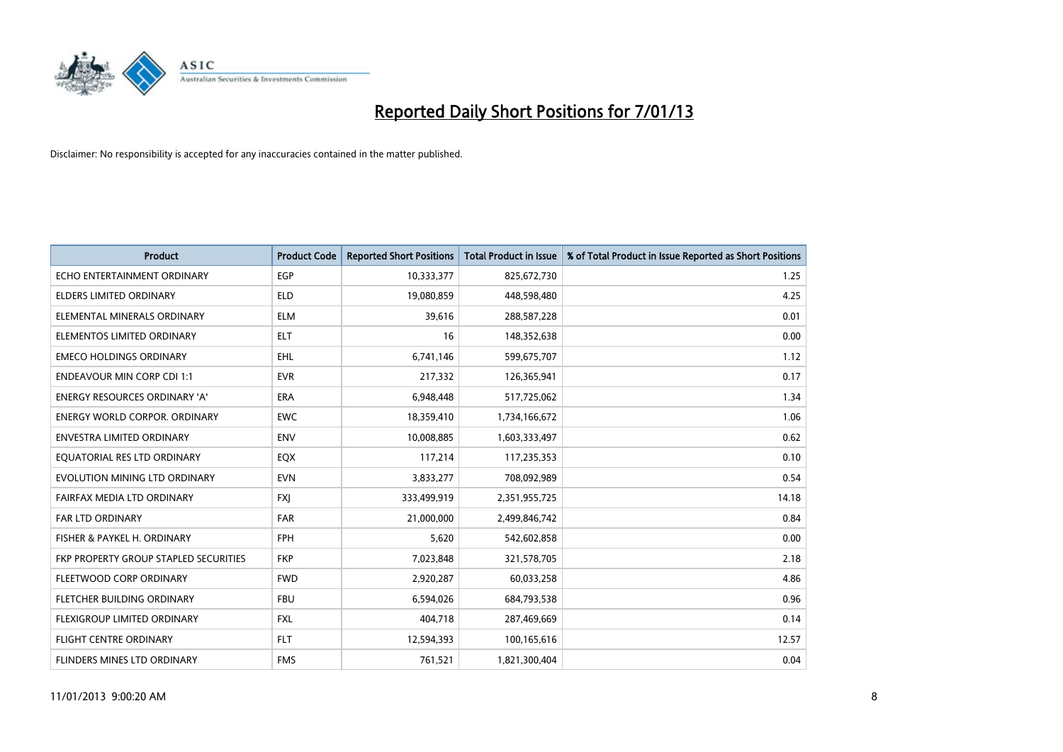

| <b>Product</b>                        | <b>Product Code</b> | <b>Reported Short Positions</b> | <b>Total Product in Issue</b> | % of Total Product in Issue Reported as Short Positions |
|---------------------------------------|---------------------|---------------------------------|-------------------------------|---------------------------------------------------------|
| ECHO ENTERTAINMENT ORDINARY           | <b>EGP</b>          | 10,333,377                      | 825,672,730                   | 1.25                                                    |
| ELDERS LIMITED ORDINARY               | <b>ELD</b>          | 19,080,859                      | 448,598,480                   | 4.25                                                    |
| ELEMENTAL MINERALS ORDINARY           | <b>ELM</b>          | 39,616                          | 288,587,228                   | 0.01                                                    |
| ELEMENTOS LIMITED ORDINARY            | <b>ELT</b>          | 16                              | 148,352,638                   | 0.00                                                    |
| <b>EMECO HOLDINGS ORDINARY</b>        | <b>EHL</b>          | 6,741,146                       | 599,675,707                   | 1.12                                                    |
| <b>ENDEAVOUR MIN CORP CDI 1:1</b>     | <b>EVR</b>          | 217,332                         | 126,365,941                   | 0.17                                                    |
| <b>ENERGY RESOURCES ORDINARY 'A'</b>  | <b>ERA</b>          | 6,948,448                       | 517,725,062                   | 1.34                                                    |
| <b>ENERGY WORLD CORPOR. ORDINARY</b>  | <b>EWC</b>          | 18,359,410                      | 1,734,166,672                 | 1.06                                                    |
| <b>ENVESTRA LIMITED ORDINARY</b>      | <b>ENV</b>          | 10,008,885                      | 1,603,333,497                 | 0.62                                                    |
| EQUATORIAL RES LTD ORDINARY           | EQX                 | 117,214                         | 117,235,353                   | 0.10                                                    |
| EVOLUTION MINING LTD ORDINARY         | <b>EVN</b>          | 3,833,277                       | 708,092,989                   | 0.54                                                    |
| FAIRFAX MEDIA LTD ORDINARY            | <b>FXI</b>          | 333,499,919                     | 2,351,955,725                 | 14.18                                                   |
| <b>FAR LTD ORDINARY</b>               | <b>FAR</b>          | 21,000,000                      | 2,499,846,742                 | 0.84                                                    |
| FISHER & PAYKEL H. ORDINARY           | <b>FPH</b>          | 5,620                           | 542,602,858                   | 0.00                                                    |
| FKP PROPERTY GROUP STAPLED SECURITIES | <b>FKP</b>          | 7,023,848                       | 321,578,705                   | 2.18                                                    |
| FLEETWOOD CORP ORDINARY               | <b>FWD</b>          | 2,920,287                       | 60,033,258                    | 4.86                                                    |
| FLETCHER BUILDING ORDINARY            | <b>FBU</b>          | 6,594,026                       | 684,793,538                   | 0.96                                                    |
| FLEXIGROUP LIMITED ORDINARY           | <b>FXL</b>          | 404,718                         | 287,469,669                   | 0.14                                                    |
| FLIGHT CENTRE ORDINARY                | <b>FLT</b>          | 12,594,393                      | 100,165,616                   | 12.57                                                   |
| FLINDERS MINES LTD ORDINARY           | <b>FMS</b>          | 761,521                         | 1,821,300,404                 | 0.04                                                    |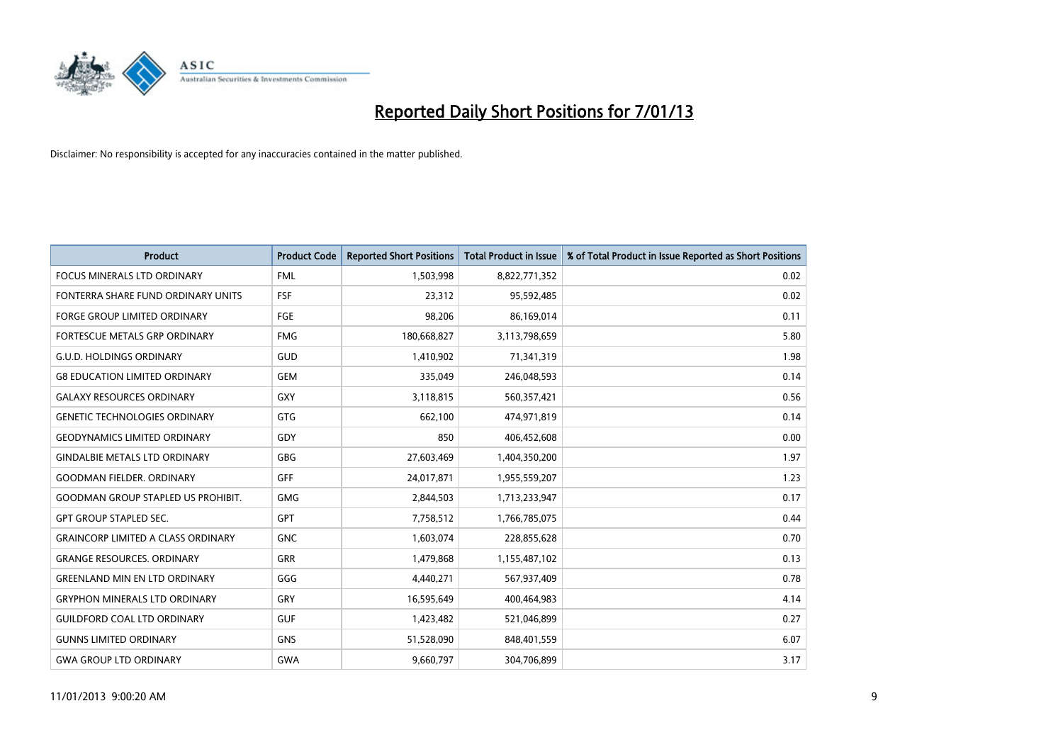

| <b>Product</b>                            | <b>Product Code</b> | <b>Reported Short Positions</b> | <b>Total Product in Issue</b> | % of Total Product in Issue Reported as Short Positions |
|-------------------------------------------|---------------------|---------------------------------|-------------------------------|---------------------------------------------------------|
| <b>FOCUS MINERALS LTD ORDINARY</b>        | <b>FML</b>          | 1,503,998                       | 8,822,771,352                 | 0.02                                                    |
| FONTERRA SHARE FUND ORDINARY UNITS        | FSF                 | 23,312                          | 95,592,485                    | 0.02                                                    |
| <b>FORGE GROUP LIMITED ORDINARY</b>       | FGE                 | 98,206                          | 86,169,014                    | 0.11                                                    |
| FORTESCUE METALS GRP ORDINARY             | <b>FMG</b>          | 180,668,827                     | 3,113,798,659                 | 5.80                                                    |
| <b>G.U.D. HOLDINGS ORDINARY</b>           | GUD                 | 1,410,902                       | 71,341,319                    | 1.98                                                    |
| <b>G8 EDUCATION LIMITED ORDINARY</b>      | <b>GEM</b>          | 335,049                         | 246,048,593                   | 0.14                                                    |
| <b>GALAXY RESOURCES ORDINARY</b>          | <b>GXY</b>          | 3,118,815                       | 560,357,421                   | 0.56                                                    |
| <b>GENETIC TECHNOLOGIES ORDINARY</b>      | <b>GTG</b>          | 662,100                         | 474,971,819                   | 0.14                                                    |
| <b>GEODYNAMICS LIMITED ORDINARY</b>       | GDY                 | 850                             | 406,452,608                   | 0.00                                                    |
| <b>GINDALBIE METALS LTD ORDINARY</b>      | <b>GBG</b>          | 27,603,469                      | 1,404,350,200                 | 1.97                                                    |
| <b>GOODMAN FIELDER. ORDINARY</b>          | <b>GFF</b>          | 24,017,871                      | 1,955,559,207                 | 1.23                                                    |
| <b>GOODMAN GROUP STAPLED US PROHIBIT.</b> | <b>GMG</b>          | 2,844,503                       | 1,713,233,947                 | 0.17                                                    |
| <b>GPT GROUP STAPLED SEC.</b>             | <b>GPT</b>          | 7,758,512                       | 1,766,785,075                 | 0.44                                                    |
| <b>GRAINCORP LIMITED A CLASS ORDINARY</b> | <b>GNC</b>          | 1,603,074                       | 228,855,628                   | 0.70                                                    |
| <b>GRANGE RESOURCES, ORDINARY</b>         | <b>GRR</b>          | 1,479,868                       | 1,155,487,102                 | 0.13                                                    |
| <b>GREENLAND MIN EN LTD ORDINARY</b>      | GGG                 | 4,440,271                       | 567,937,409                   | 0.78                                                    |
| <b>GRYPHON MINERALS LTD ORDINARY</b>      | GRY                 | 16,595,649                      | 400,464,983                   | 4.14                                                    |
| <b>GUILDFORD COAL LTD ORDINARY</b>        | <b>GUF</b>          | 1,423,482                       | 521,046,899                   | 0.27                                                    |
| <b>GUNNS LIMITED ORDINARY</b>             | <b>GNS</b>          | 51,528,090                      | 848,401,559                   | 6.07                                                    |
| <b>GWA GROUP LTD ORDINARY</b>             | <b>GWA</b>          | 9,660,797                       | 304,706,899                   | 3.17                                                    |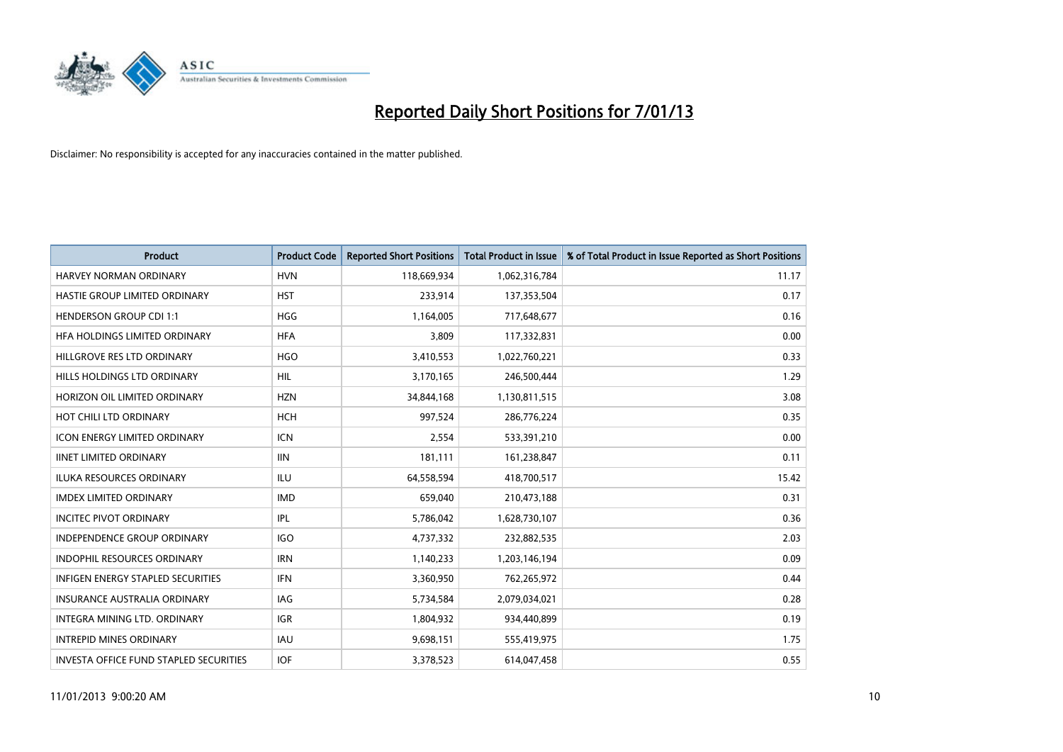

| <b>Product</b>                                | <b>Product Code</b> | <b>Reported Short Positions</b> | <b>Total Product in Issue</b> | % of Total Product in Issue Reported as Short Positions |
|-----------------------------------------------|---------------------|---------------------------------|-------------------------------|---------------------------------------------------------|
| <b>HARVEY NORMAN ORDINARY</b>                 | <b>HVN</b>          | 118,669,934                     | 1,062,316,784                 | 11.17                                                   |
| HASTIE GROUP LIMITED ORDINARY                 | <b>HST</b>          | 233,914                         | 137,353,504                   | 0.17                                                    |
| <b>HENDERSON GROUP CDI 1:1</b>                | <b>HGG</b>          | 1,164,005                       | 717,648,677                   | 0.16                                                    |
| HFA HOLDINGS LIMITED ORDINARY                 | <b>HFA</b>          | 3,809                           | 117,332,831                   | 0.00                                                    |
| HILLGROVE RES LTD ORDINARY                    | <b>HGO</b>          | 3,410,553                       | 1,022,760,221                 | 0.33                                                    |
| HILLS HOLDINGS LTD ORDINARY                   | <b>HIL</b>          | 3,170,165                       | 246,500,444                   | 1.29                                                    |
| HORIZON OIL LIMITED ORDINARY                  | <b>HZN</b>          | 34,844,168                      | 1,130,811,515                 | 3.08                                                    |
| HOT CHILI LTD ORDINARY                        | <b>HCH</b>          | 997,524                         | 286,776,224                   | 0.35                                                    |
| <b>ICON ENERGY LIMITED ORDINARY</b>           | <b>ICN</b>          | 2,554                           | 533,391,210                   | 0.00                                                    |
| <b>IINET LIMITED ORDINARY</b>                 | <b>IIN</b>          | 181,111                         | 161,238,847                   | 0.11                                                    |
| <b>ILUKA RESOURCES ORDINARY</b>               | ILU                 | 64,558,594                      | 418,700,517                   | 15.42                                                   |
| <b>IMDEX LIMITED ORDINARY</b>                 | <b>IMD</b>          | 659,040                         | 210,473,188                   | 0.31                                                    |
| <b>INCITEC PIVOT ORDINARY</b>                 | IPL                 | 5,786,042                       | 1,628,730,107                 | 0.36                                                    |
| INDEPENDENCE GROUP ORDINARY                   | <b>IGO</b>          | 4,737,332                       | 232,882,535                   | 2.03                                                    |
| INDOPHIL RESOURCES ORDINARY                   | <b>IRN</b>          | 1,140,233                       | 1,203,146,194                 | 0.09                                                    |
| <b>INFIGEN ENERGY STAPLED SECURITIES</b>      | <b>IFN</b>          | 3,360,950                       | 762,265,972                   | 0.44                                                    |
| <b>INSURANCE AUSTRALIA ORDINARY</b>           | IAG                 | 5,734,584                       | 2,079,034,021                 | 0.28                                                    |
| INTEGRA MINING LTD. ORDINARY                  | <b>IGR</b>          | 1,804,932                       | 934,440,899                   | 0.19                                                    |
| <b>INTREPID MINES ORDINARY</b>                | <b>IAU</b>          | 9,698,151                       | 555,419,975                   | 1.75                                                    |
| <b>INVESTA OFFICE FUND STAPLED SECURITIES</b> | <b>IOF</b>          | 3,378,523                       | 614,047,458                   | 0.55                                                    |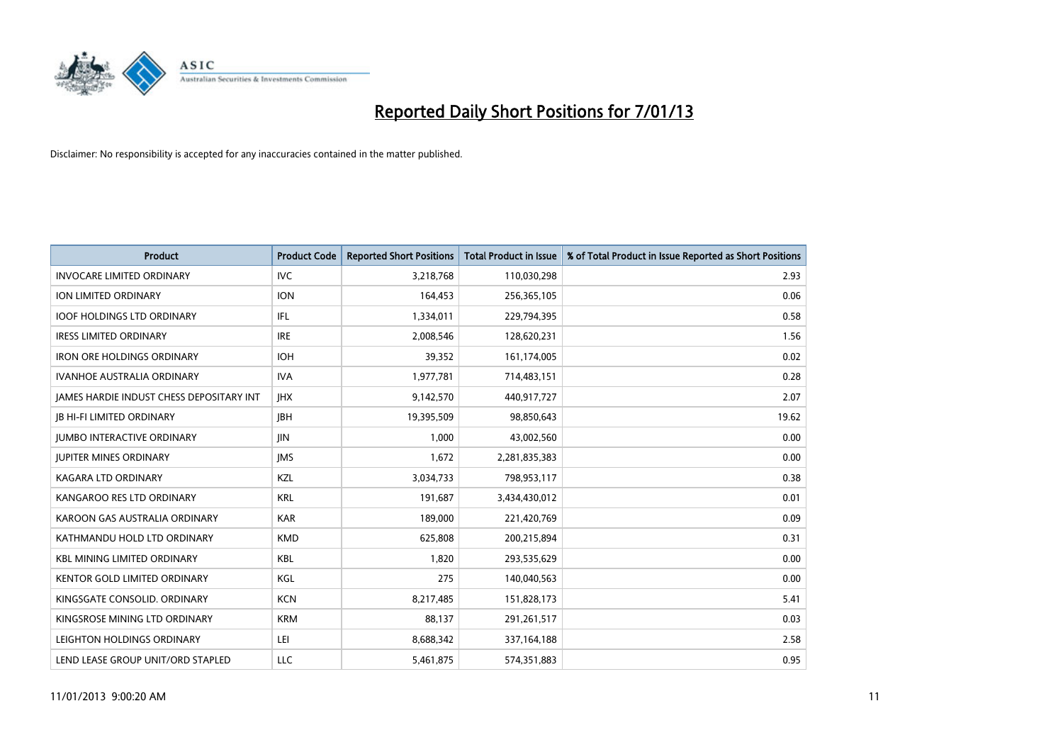

| <b>Product</b>                                  | <b>Product Code</b> | <b>Reported Short Positions</b> | <b>Total Product in Issue</b> | % of Total Product in Issue Reported as Short Positions |
|-------------------------------------------------|---------------------|---------------------------------|-------------------------------|---------------------------------------------------------|
| <b>INVOCARE LIMITED ORDINARY</b>                | IVC                 | 3,218,768                       | 110,030,298                   | 2.93                                                    |
| ION LIMITED ORDINARY                            | <b>ION</b>          | 164,453                         | 256,365,105                   | 0.06                                                    |
| <b>IOOF HOLDINGS LTD ORDINARY</b>               | IFL                 | 1,334,011                       | 229,794,395                   | 0.58                                                    |
| <b>IRESS LIMITED ORDINARY</b>                   | <b>IRE</b>          | 2,008,546                       | 128,620,231                   | 1.56                                                    |
| <b>IRON ORE HOLDINGS ORDINARY</b>               | <b>IOH</b>          | 39,352                          | 161,174,005                   | 0.02                                                    |
| <b>IVANHOE AUSTRALIA ORDINARY</b>               | <b>IVA</b>          | 1,977,781                       | 714,483,151                   | 0.28                                                    |
| <b>JAMES HARDIE INDUST CHESS DEPOSITARY INT</b> | <b>IHX</b>          | 9,142,570                       | 440,917,727                   | 2.07                                                    |
| <b>IB HI-FI LIMITED ORDINARY</b>                | <b>IBH</b>          | 19,395,509                      | 98,850,643                    | 19.62                                                   |
| <b>JUMBO INTERACTIVE ORDINARY</b>               | <b>JIN</b>          | 1,000                           | 43,002,560                    | 0.00                                                    |
| <b>JUPITER MINES ORDINARY</b>                   | <b>IMS</b>          | 1,672                           | 2,281,835,383                 | 0.00                                                    |
| KAGARA LTD ORDINARY                             | <b>KZL</b>          | 3,034,733                       | 798,953,117                   | 0.38                                                    |
| KANGAROO RES LTD ORDINARY                       | <b>KRL</b>          | 191,687                         | 3,434,430,012                 | 0.01                                                    |
| KAROON GAS AUSTRALIA ORDINARY                   | <b>KAR</b>          | 189,000                         | 221,420,769                   | 0.09                                                    |
| KATHMANDU HOLD LTD ORDINARY                     | <b>KMD</b>          | 625,808                         | 200,215,894                   | 0.31                                                    |
| <b>KBL MINING LIMITED ORDINARY</b>              | <b>KBL</b>          | 1,820                           | 293,535,629                   | 0.00                                                    |
| KENTOR GOLD LIMITED ORDINARY                    | KGL                 | 275                             | 140,040,563                   | 0.00                                                    |
| KINGSGATE CONSOLID. ORDINARY                    | <b>KCN</b>          | 8,217,485                       | 151,828,173                   | 5.41                                                    |
| KINGSROSE MINING LTD ORDINARY                   | <b>KRM</b>          | 88,137                          | 291,261,517                   | 0.03                                                    |
| LEIGHTON HOLDINGS ORDINARY                      | LEI                 | 8,688,342                       | 337,164,188                   | 2.58                                                    |
| LEND LEASE GROUP UNIT/ORD STAPLED               | LLC                 | 5,461,875                       | 574,351,883                   | 0.95                                                    |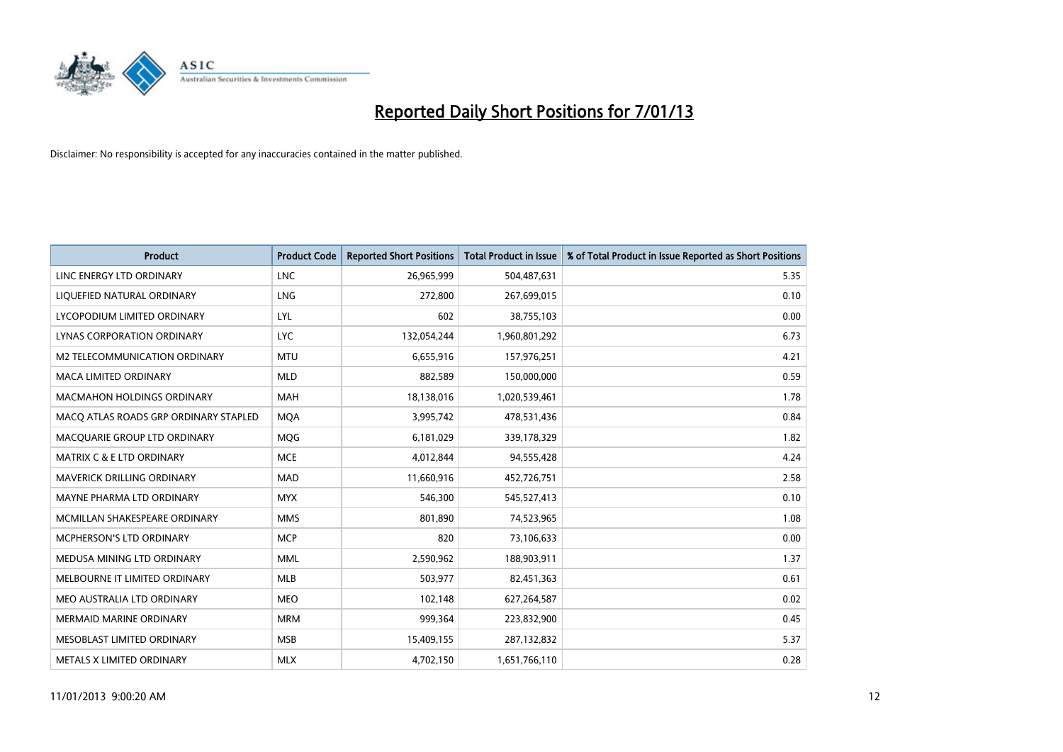

| <b>Product</b>                        | <b>Product Code</b> | <b>Reported Short Positions</b> | <b>Total Product in Issue</b> | % of Total Product in Issue Reported as Short Positions |
|---------------------------------------|---------------------|---------------------------------|-------------------------------|---------------------------------------------------------|
| LINC ENERGY LTD ORDINARY              | <b>LNC</b>          | 26,965,999                      | 504,487,631                   | 5.35                                                    |
| LIQUEFIED NATURAL ORDINARY            | <b>LNG</b>          | 272,800                         | 267,699,015                   | 0.10                                                    |
| LYCOPODIUM LIMITED ORDINARY           | LYL                 | 602                             | 38,755,103                    | 0.00                                                    |
| LYNAS CORPORATION ORDINARY            | <b>LYC</b>          | 132,054,244                     | 1,960,801,292                 | 6.73                                                    |
| M2 TELECOMMUNICATION ORDINARY         | <b>MTU</b>          | 6,655,916                       | 157,976,251                   | 4.21                                                    |
| <b>MACA LIMITED ORDINARY</b>          | <b>MLD</b>          | 882,589                         | 150,000,000                   | 0.59                                                    |
| <b>MACMAHON HOLDINGS ORDINARY</b>     | <b>MAH</b>          | 18,138,016                      | 1,020,539,461                 | 1.78                                                    |
| MACQ ATLAS ROADS GRP ORDINARY STAPLED | <b>MQA</b>          | 3,995,742                       | 478,531,436                   | 0.84                                                    |
| MACQUARIE GROUP LTD ORDINARY          | <b>MOG</b>          | 6,181,029                       | 339,178,329                   | 1.82                                                    |
| <b>MATRIX C &amp; E LTD ORDINARY</b>  | <b>MCE</b>          | 4,012,844                       | 94,555,428                    | 4.24                                                    |
| <b>MAVERICK DRILLING ORDINARY</b>     | <b>MAD</b>          | 11,660,916                      | 452,726,751                   | 2.58                                                    |
| <b>MAYNE PHARMA LTD ORDINARY</b>      | <b>MYX</b>          | 546,300                         | 545,527,413                   | 0.10                                                    |
| MCMILLAN SHAKESPEARE ORDINARY         | <b>MMS</b>          | 801,890                         | 74,523,965                    | 1.08                                                    |
| <b>MCPHERSON'S LTD ORDINARY</b>       | <b>MCP</b>          | 820                             | 73,106,633                    | 0.00                                                    |
| MEDUSA MINING LTD ORDINARY            | <b>MML</b>          | 2,590,962                       | 188,903,911                   | 1.37                                                    |
| MELBOURNE IT LIMITED ORDINARY         | <b>MLB</b>          | 503,977                         | 82,451,363                    | 0.61                                                    |
| MEO AUSTRALIA LTD ORDINARY            | <b>MEO</b>          | 102,148                         | 627,264,587                   | 0.02                                                    |
| <b>MERMAID MARINE ORDINARY</b>        | <b>MRM</b>          | 999,364                         | 223,832,900                   | 0.45                                                    |
| MESOBLAST LIMITED ORDINARY            | <b>MSB</b>          | 15,409,155                      | 287,132,832                   | 5.37                                                    |
| METALS X LIMITED ORDINARY             | <b>MLX</b>          | 4,702,150                       | 1,651,766,110                 | 0.28                                                    |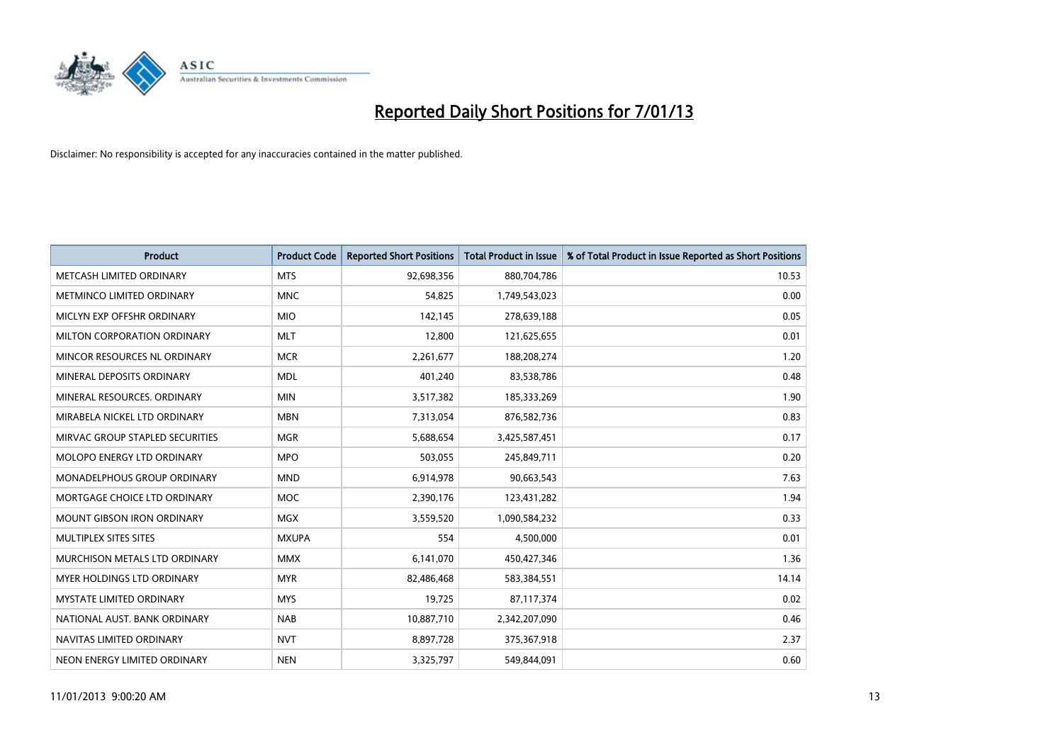

| <b>Product</b>                       | <b>Product Code</b> | <b>Reported Short Positions</b> | <b>Total Product in Issue</b> | % of Total Product in Issue Reported as Short Positions |
|--------------------------------------|---------------------|---------------------------------|-------------------------------|---------------------------------------------------------|
| METCASH LIMITED ORDINARY             | <b>MTS</b>          | 92,698,356                      | 880,704,786                   | 10.53                                                   |
| METMINCO LIMITED ORDINARY            | <b>MNC</b>          | 54,825                          | 1,749,543,023                 | 0.00                                                    |
| MICLYN EXP OFFSHR ORDINARY           | <b>MIO</b>          | 142,145                         | 278,639,188                   | 0.05                                                    |
| MILTON CORPORATION ORDINARY          | <b>MLT</b>          | 12,800                          | 121,625,655                   | 0.01                                                    |
| MINCOR RESOURCES NL ORDINARY         | <b>MCR</b>          | 2,261,677                       | 188,208,274                   | 1.20                                                    |
| MINERAL DEPOSITS ORDINARY            | <b>MDL</b>          | 401,240                         | 83,538,786                    | 0.48                                                    |
| MINERAL RESOURCES, ORDINARY          | <b>MIN</b>          | 3,517,382                       | 185,333,269                   | 1.90                                                    |
| MIRABELA NICKEL LTD ORDINARY         | <b>MBN</b>          | 7,313,054                       | 876,582,736                   | 0.83                                                    |
| MIRVAC GROUP STAPLED SECURITIES      | <b>MGR</b>          | 5,688,654                       | 3,425,587,451                 | 0.17                                                    |
| MOLOPO ENERGY LTD ORDINARY           | <b>MPO</b>          | 503,055                         | 245,849,711                   | 0.20                                                    |
| MONADELPHOUS GROUP ORDINARY          | <b>MND</b>          | 6,914,978                       | 90,663,543                    | 7.63                                                    |
| MORTGAGE CHOICE LTD ORDINARY         | <b>MOC</b>          | 2,390,176                       | 123,431,282                   | 1.94                                                    |
| MOUNT GIBSON IRON ORDINARY           | <b>MGX</b>          | 3,559,520                       | 1,090,584,232                 | 0.33                                                    |
| MULTIPLEX SITES SITES                | <b>MXUPA</b>        | 554                             | 4,500,000                     | 0.01                                                    |
| <b>MURCHISON METALS LTD ORDINARY</b> | <b>MMX</b>          | 6,141,070                       | 450,427,346                   | 1.36                                                    |
| <b>MYER HOLDINGS LTD ORDINARY</b>    | <b>MYR</b>          | 82,486,468                      | 583,384,551                   | 14.14                                                   |
| MYSTATE LIMITED ORDINARY             | <b>MYS</b>          | 19,725                          | 87,117,374                    | 0.02                                                    |
| NATIONAL AUST, BANK ORDINARY         | <b>NAB</b>          | 10,887,710                      | 2,342,207,090                 | 0.46                                                    |
| NAVITAS LIMITED ORDINARY             | <b>NVT</b>          | 8,897,728                       | 375,367,918                   | 2.37                                                    |
| NEON ENERGY LIMITED ORDINARY         | <b>NEN</b>          | 3,325,797                       | 549,844,091                   | 0.60                                                    |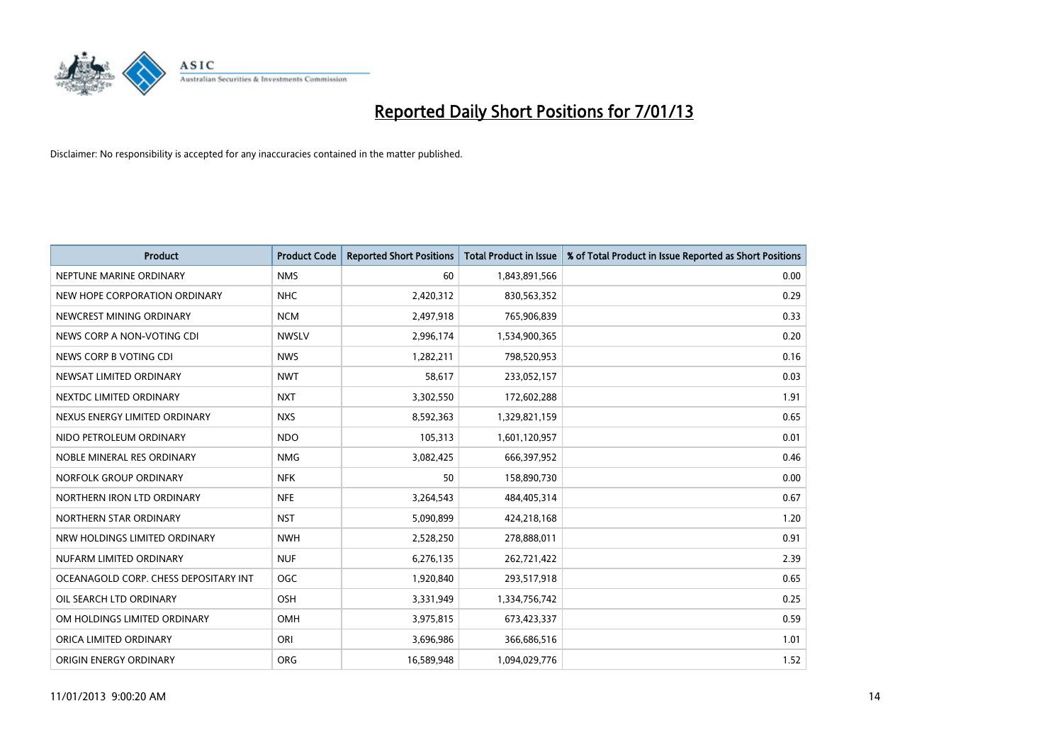

| <b>Product</b>                        | <b>Product Code</b> | <b>Reported Short Positions</b> | <b>Total Product in Issue</b> | % of Total Product in Issue Reported as Short Positions |
|---------------------------------------|---------------------|---------------------------------|-------------------------------|---------------------------------------------------------|
| NEPTUNE MARINE ORDINARY               | <b>NMS</b>          | 60                              | 1,843,891,566                 | 0.00                                                    |
| NEW HOPE CORPORATION ORDINARY         | <b>NHC</b>          | 2,420,312                       | 830,563,352                   | 0.29                                                    |
| NEWCREST MINING ORDINARY              | <b>NCM</b>          | 2,497,918                       | 765,906,839                   | 0.33                                                    |
| NEWS CORP A NON-VOTING CDI            | <b>NWSLV</b>        | 2,996,174                       | 1,534,900,365                 | 0.20                                                    |
| NEWS CORP B VOTING CDI                | <b>NWS</b>          | 1,282,211                       | 798,520,953                   | 0.16                                                    |
| NEWSAT LIMITED ORDINARY               | <b>NWT</b>          | 58,617                          | 233,052,157                   | 0.03                                                    |
| NEXTDC LIMITED ORDINARY               | <b>NXT</b>          | 3,302,550                       | 172,602,288                   | 1.91                                                    |
| NEXUS ENERGY LIMITED ORDINARY         | <b>NXS</b>          | 8,592,363                       | 1,329,821,159                 | 0.65                                                    |
| NIDO PETROLEUM ORDINARY               | <b>NDO</b>          | 105,313                         | 1,601,120,957                 | 0.01                                                    |
| NOBLE MINERAL RES ORDINARY            | <b>NMG</b>          | 3,082,425                       | 666,397,952                   | 0.46                                                    |
| NORFOLK GROUP ORDINARY                | <b>NFK</b>          | 50                              | 158,890,730                   | 0.00                                                    |
| NORTHERN IRON LTD ORDINARY            | <b>NFE</b>          | 3,264,543                       | 484,405,314                   | 0.67                                                    |
| NORTHERN STAR ORDINARY                | <b>NST</b>          | 5,090,899                       | 424,218,168                   | 1.20                                                    |
| NRW HOLDINGS LIMITED ORDINARY         | <b>NWH</b>          | 2,528,250                       | 278,888,011                   | 0.91                                                    |
| NUFARM LIMITED ORDINARY               | <b>NUF</b>          | 6,276,135                       | 262,721,422                   | 2.39                                                    |
| OCEANAGOLD CORP. CHESS DEPOSITARY INT | <b>OGC</b>          | 1,920,840                       | 293,517,918                   | 0.65                                                    |
| OIL SEARCH LTD ORDINARY               | OSH                 | 3,331,949                       | 1,334,756,742                 | 0.25                                                    |
| OM HOLDINGS LIMITED ORDINARY          | OMH                 | 3,975,815                       | 673,423,337                   | 0.59                                                    |
| ORICA LIMITED ORDINARY                | ORI                 | 3,696,986                       | 366,686,516                   | 1.01                                                    |
| ORIGIN ENERGY ORDINARY                | <b>ORG</b>          | 16,589,948                      | 1,094,029,776                 | 1.52                                                    |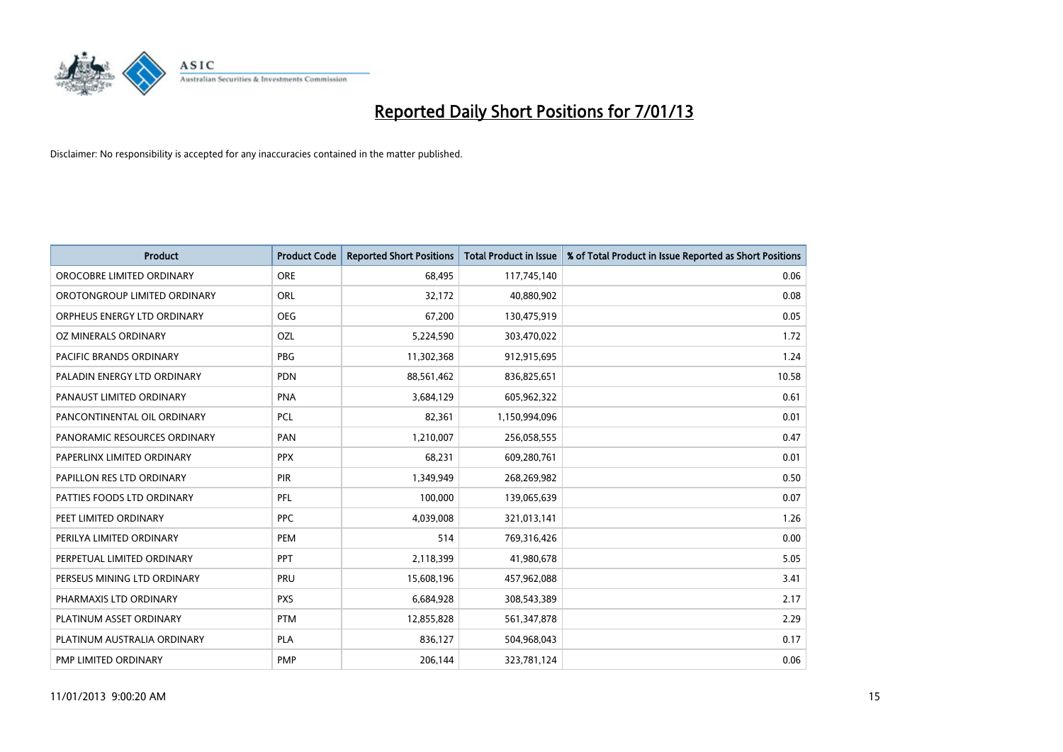

| <b>Product</b>               | <b>Product Code</b> | <b>Reported Short Positions</b> | <b>Total Product in Issue</b> | % of Total Product in Issue Reported as Short Positions |
|------------------------------|---------------------|---------------------------------|-------------------------------|---------------------------------------------------------|
| OROCOBRE LIMITED ORDINARY    | <b>ORE</b>          | 68.495                          | 117,745,140                   | 0.06                                                    |
| OROTONGROUP LIMITED ORDINARY | ORL                 | 32,172                          | 40,880,902                    | 0.08                                                    |
| ORPHEUS ENERGY LTD ORDINARY  | <b>OEG</b>          | 67,200                          | 130,475,919                   | 0.05                                                    |
| OZ MINERALS ORDINARY         | OZL                 | 5,224,590                       | 303,470,022                   | 1.72                                                    |
| PACIFIC BRANDS ORDINARY      | <b>PBG</b>          | 11,302,368                      | 912,915,695                   | 1.24                                                    |
| PALADIN ENERGY LTD ORDINARY  | <b>PDN</b>          | 88,561,462                      | 836,825,651                   | 10.58                                                   |
| PANAUST LIMITED ORDINARY     | <b>PNA</b>          | 3,684,129                       | 605,962,322                   | 0.61                                                    |
| PANCONTINENTAL OIL ORDINARY  | <b>PCL</b>          | 82,361                          | 1,150,994,096                 | 0.01                                                    |
| PANORAMIC RESOURCES ORDINARY | PAN                 | 1,210,007                       | 256,058,555                   | 0.47                                                    |
| PAPERLINX LIMITED ORDINARY   | <b>PPX</b>          | 68,231                          | 609,280,761                   | 0.01                                                    |
| PAPILLON RES LTD ORDINARY    | PIR                 | 1,349,949                       | 268,269,982                   | 0.50                                                    |
| PATTIES FOODS LTD ORDINARY   | PFL                 | 100,000                         | 139,065,639                   | 0.07                                                    |
| PEET LIMITED ORDINARY        | <b>PPC</b>          | 4,039,008                       | 321,013,141                   | 1.26                                                    |
| PERILYA LIMITED ORDINARY     | PEM                 | 514                             | 769,316,426                   | 0.00                                                    |
| PERPETUAL LIMITED ORDINARY   | PPT                 | 2,118,399                       | 41,980,678                    | 5.05                                                    |
| PERSEUS MINING LTD ORDINARY  | PRU                 | 15,608,196                      | 457,962,088                   | 3.41                                                    |
| PHARMAXIS LTD ORDINARY       | <b>PXS</b>          | 6,684,928                       | 308,543,389                   | 2.17                                                    |
| PLATINUM ASSET ORDINARY      | <b>PTM</b>          | 12,855,828                      | 561,347,878                   | 2.29                                                    |
| PLATINUM AUSTRALIA ORDINARY  | <b>PLA</b>          | 836,127                         | 504,968,043                   | 0.17                                                    |
| PMP LIMITED ORDINARY         | <b>PMP</b>          | 206,144                         | 323,781,124                   | 0.06                                                    |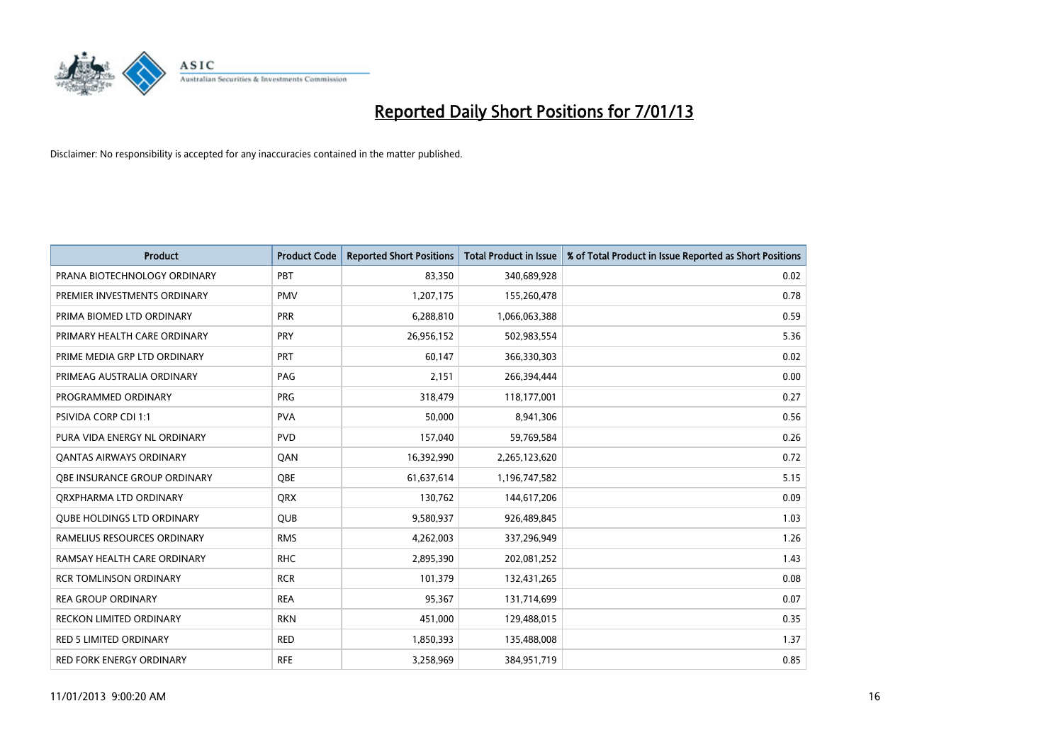

| <b>Product</b>                    | <b>Product Code</b> | <b>Reported Short Positions</b> | <b>Total Product in Issue</b> | % of Total Product in Issue Reported as Short Positions |
|-----------------------------------|---------------------|---------------------------------|-------------------------------|---------------------------------------------------------|
| PRANA BIOTECHNOLOGY ORDINARY      | PBT                 | 83,350                          | 340,689,928                   | 0.02                                                    |
| PREMIER INVESTMENTS ORDINARY      | <b>PMV</b>          | 1,207,175                       | 155,260,478                   | 0.78                                                    |
| PRIMA BIOMED LTD ORDINARY         | PRR                 | 6,288,810                       | 1,066,063,388                 | 0.59                                                    |
| PRIMARY HEALTH CARE ORDINARY      | <b>PRY</b>          | 26,956,152                      | 502,983,554                   | 5.36                                                    |
| PRIME MEDIA GRP LTD ORDINARY      | PRT                 | 60,147                          | 366,330,303                   | 0.02                                                    |
| PRIMEAG AUSTRALIA ORDINARY        | PAG                 | 2,151                           | 266,394,444                   | 0.00                                                    |
| PROGRAMMED ORDINARY               | <b>PRG</b>          | 318,479                         | 118,177,001                   | 0.27                                                    |
| PSIVIDA CORP CDI 1:1              | <b>PVA</b>          | 50,000                          | 8,941,306                     | 0.56                                                    |
| PURA VIDA ENERGY NL ORDINARY      | <b>PVD</b>          | 157,040                         | 59,769,584                    | 0.26                                                    |
| OANTAS AIRWAYS ORDINARY           | QAN                 | 16,392,990                      | 2,265,123,620                 | 0.72                                                    |
| QBE INSURANCE GROUP ORDINARY      | QBE                 | 61,637,614                      | 1,196,747,582                 | 5.15                                                    |
| ORXPHARMA LTD ORDINARY            | <b>ORX</b>          | 130,762                         | 144,617,206                   | 0.09                                                    |
| <b>QUBE HOLDINGS LTD ORDINARY</b> | <b>QUB</b>          | 9,580,937                       | 926,489,845                   | 1.03                                                    |
| RAMELIUS RESOURCES ORDINARY       | <b>RMS</b>          | 4,262,003                       | 337,296,949                   | 1.26                                                    |
| RAMSAY HEALTH CARE ORDINARY       | <b>RHC</b>          | 2,895,390                       | 202,081,252                   | 1.43                                                    |
| <b>RCR TOMLINSON ORDINARY</b>     | <b>RCR</b>          | 101,379                         | 132,431,265                   | 0.08                                                    |
| <b>REA GROUP ORDINARY</b>         | <b>REA</b>          | 95,367                          | 131,714,699                   | 0.07                                                    |
| RECKON LIMITED ORDINARY           | <b>RKN</b>          | 451,000                         | 129,488,015                   | 0.35                                                    |
| <b>RED 5 LIMITED ORDINARY</b>     | <b>RED</b>          | 1,850,393                       | 135,488,008                   | 1.37                                                    |
| RED FORK ENERGY ORDINARY          | <b>RFE</b>          | 3,258,969                       | 384,951,719                   | 0.85                                                    |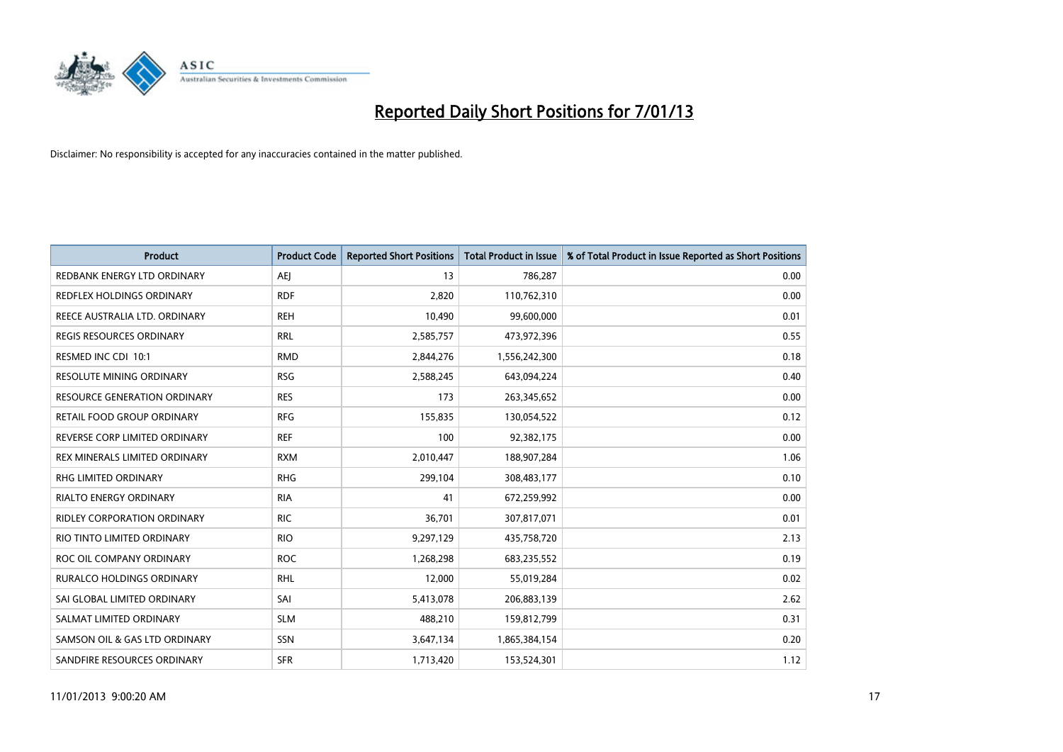

| <b>Product</b>                   | <b>Product Code</b> | <b>Reported Short Positions</b> | Total Product in Issue | % of Total Product in Issue Reported as Short Positions |
|----------------------------------|---------------------|---------------------------------|------------------------|---------------------------------------------------------|
| REDBANK ENERGY LTD ORDINARY      | AEI                 | 13                              | 786,287                | 0.00                                                    |
| REDFLEX HOLDINGS ORDINARY        | <b>RDF</b>          | 2,820                           | 110,762,310            | 0.00                                                    |
| REECE AUSTRALIA LTD. ORDINARY    | <b>REH</b>          | 10,490                          | 99,600,000             | 0.01                                                    |
| REGIS RESOURCES ORDINARY         | <b>RRL</b>          | 2,585,757                       | 473,972,396            | 0.55                                                    |
| RESMED INC CDI 10:1              | <b>RMD</b>          | 2,844,276                       | 1,556,242,300          | 0.18                                                    |
| RESOLUTE MINING ORDINARY         | <b>RSG</b>          | 2,588,245                       | 643,094,224            | 0.40                                                    |
| RESOURCE GENERATION ORDINARY     | <b>RES</b>          | 173                             | 263,345,652            | 0.00                                                    |
| RETAIL FOOD GROUP ORDINARY       | <b>RFG</b>          | 155,835                         | 130,054,522            | 0.12                                                    |
| REVERSE CORP LIMITED ORDINARY    | <b>REF</b>          | 100                             | 92,382,175             | 0.00                                                    |
| REX MINERALS LIMITED ORDINARY    | <b>RXM</b>          | 2,010,447                       | 188,907,284            | 1.06                                                    |
| RHG LIMITED ORDINARY             | <b>RHG</b>          | 299,104                         | 308,483,177            | 0.10                                                    |
| <b>RIALTO ENERGY ORDINARY</b>    | <b>RIA</b>          | 41                              | 672,259,992            | 0.00                                                    |
| RIDLEY CORPORATION ORDINARY      | <b>RIC</b>          | 36,701                          | 307,817,071            | 0.01                                                    |
| RIO TINTO LIMITED ORDINARY       | <b>RIO</b>          | 9,297,129                       | 435,758,720            | 2.13                                                    |
| ROC OIL COMPANY ORDINARY         | <b>ROC</b>          | 1,268,298                       | 683,235,552            | 0.19                                                    |
| <b>RURALCO HOLDINGS ORDINARY</b> | <b>RHL</b>          | 12,000                          | 55,019,284             | 0.02                                                    |
| SAI GLOBAL LIMITED ORDINARY      | SAI                 | 5,413,078                       | 206,883,139            | 2.62                                                    |
| SALMAT LIMITED ORDINARY          | <b>SLM</b>          | 488,210                         | 159,812,799            | 0.31                                                    |
| SAMSON OIL & GAS LTD ORDINARY    | <b>SSN</b>          | 3,647,134                       | 1,865,384,154          | 0.20                                                    |
| SANDFIRE RESOURCES ORDINARY      | <b>SFR</b>          | 1,713,420                       | 153,524,301            | 1.12                                                    |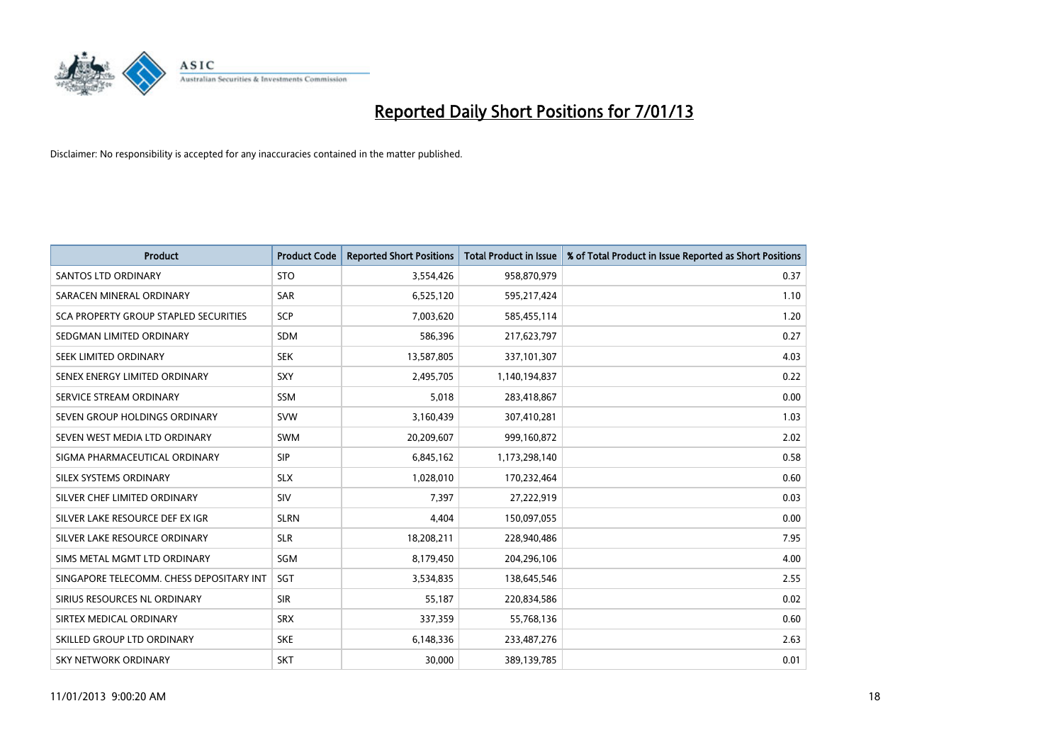

| <b>Product</b>                           | <b>Product Code</b> | <b>Reported Short Positions</b> | <b>Total Product in Issue</b> | % of Total Product in Issue Reported as Short Positions |
|------------------------------------------|---------------------|---------------------------------|-------------------------------|---------------------------------------------------------|
| <b>SANTOS LTD ORDINARY</b>               | <b>STO</b>          | 3,554,426                       | 958,870,979                   | 0.37                                                    |
| SARACEN MINERAL ORDINARY                 | <b>SAR</b>          | 6,525,120                       | 595,217,424                   | 1.10                                                    |
| SCA PROPERTY GROUP STAPLED SECURITIES    | <b>SCP</b>          | 7,003,620                       | 585,455,114                   | 1.20                                                    |
| SEDGMAN LIMITED ORDINARY                 | <b>SDM</b>          | 586,396                         | 217,623,797                   | 0.27                                                    |
| SEEK LIMITED ORDINARY                    | <b>SEK</b>          | 13,587,805                      | 337,101,307                   | 4.03                                                    |
| SENEX ENERGY LIMITED ORDINARY            | SXY                 | 2,495,705                       | 1,140,194,837                 | 0.22                                                    |
| SERVICE STREAM ORDINARY                  | <b>SSM</b>          | 5,018                           | 283,418,867                   | 0.00                                                    |
| SEVEN GROUP HOLDINGS ORDINARY            | <b>SVW</b>          | 3,160,439                       | 307,410,281                   | 1.03                                                    |
| SEVEN WEST MEDIA LTD ORDINARY            | <b>SWM</b>          | 20,209,607                      | 999,160,872                   | 2.02                                                    |
| SIGMA PHARMACEUTICAL ORDINARY            | <b>SIP</b>          | 6,845,162                       | 1,173,298,140                 | 0.58                                                    |
| SILEX SYSTEMS ORDINARY                   | <b>SLX</b>          | 1,028,010                       | 170,232,464                   | 0.60                                                    |
| SILVER CHEF LIMITED ORDINARY             | <b>SIV</b>          | 7.397                           | 27,222,919                    | 0.03                                                    |
| SILVER LAKE RESOURCE DEF EX IGR          | <b>SLRN</b>         | 4,404                           | 150,097,055                   | 0.00                                                    |
| SILVER LAKE RESOURCE ORDINARY            | <b>SLR</b>          | 18,208,211                      | 228,940,486                   | 7.95                                                    |
| SIMS METAL MGMT LTD ORDINARY             | SGM                 | 8,179,450                       | 204,296,106                   | 4.00                                                    |
| SINGAPORE TELECOMM. CHESS DEPOSITARY INT | SGT                 | 3,534,835                       | 138,645,546                   | 2.55                                                    |
| SIRIUS RESOURCES NL ORDINARY             | <b>SIR</b>          | 55,187                          | 220,834,586                   | 0.02                                                    |
| SIRTEX MEDICAL ORDINARY                  | <b>SRX</b>          | 337,359                         | 55,768,136                    | 0.60                                                    |
| SKILLED GROUP LTD ORDINARY               | <b>SKE</b>          | 6,148,336                       | 233,487,276                   | 2.63                                                    |
| SKY NETWORK ORDINARY                     | <b>SKT</b>          | 30,000                          | 389,139,785                   | 0.01                                                    |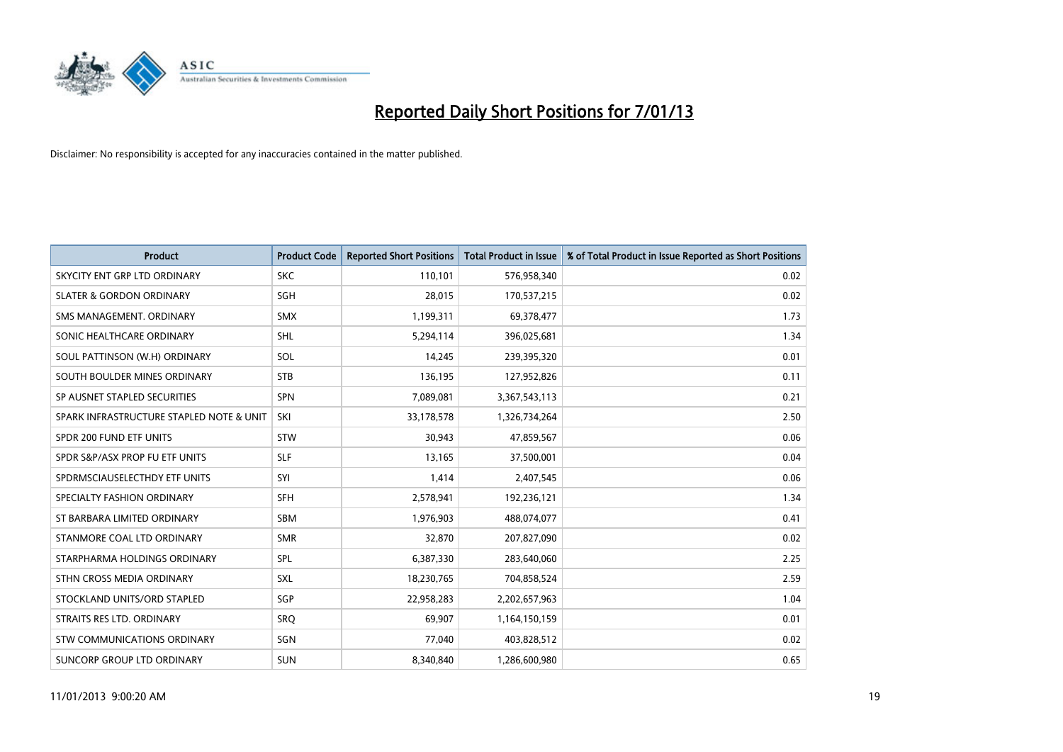

| <b>Product</b>                           | <b>Product Code</b> | <b>Reported Short Positions</b> | <b>Total Product in Issue</b> | % of Total Product in Issue Reported as Short Positions |
|------------------------------------------|---------------------|---------------------------------|-------------------------------|---------------------------------------------------------|
| SKYCITY ENT GRP LTD ORDINARY             | <b>SKC</b>          | 110,101                         | 576,958,340                   | 0.02                                                    |
| <b>SLATER &amp; GORDON ORDINARY</b>      | SGH                 | 28,015                          | 170,537,215                   | 0.02                                                    |
| SMS MANAGEMENT, ORDINARY                 | <b>SMX</b>          | 1,199,311                       | 69,378,477                    | 1.73                                                    |
| SONIC HEALTHCARE ORDINARY                | <b>SHL</b>          | 5,294,114                       | 396,025,681                   | 1.34                                                    |
| SOUL PATTINSON (W.H) ORDINARY            | SOL                 | 14,245                          | 239,395,320                   | 0.01                                                    |
| SOUTH BOULDER MINES ORDINARY             | <b>STB</b>          | 136,195                         | 127,952,826                   | 0.11                                                    |
| SP AUSNET STAPLED SECURITIES             | <b>SPN</b>          | 7,089,081                       | 3,367,543,113                 | 0.21                                                    |
| SPARK INFRASTRUCTURE STAPLED NOTE & UNIT | SKI                 | 33,178,578                      | 1,326,734,264                 | 2.50                                                    |
| SPDR 200 FUND ETF UNITS                  | <b>STW</b>          | 30,943                          | 47,859,567                    | 0.06                                                    |
| SPDR S&P/ASX PROP FU ETF UNITS           | <b>SLF</b>          | 13,165                          | 37,500,001                    | 0.04                                                    |
| SPDRMSCIAUSELECTHDY ETF UNITS            | SYI                 | 1,414                           | 2,407,545                     | 0.06                                                    |
| SPECIALTY FASHION ORDINARY               | <b>SFH</b>          | 2,578,941                       | 192,236,121                   | 1.34                                                    |
| ST BARBARA LIMITED ORDINARY              | <b>SBM</b>          | 1,976,903                       | 488,074,077                   | 0.41                                                    |
| STANMORE COAL LTD ORDINARY               | <b>SMR</b>          | 32,870                          | 207,827,090                   | 0.02                                                    |
| STARPHARMA HOLDINGS ORDINARY             | SPL                 | 6,387,330                       | 283,640,060                   | 2.25                                                    |
| STHN CROSS MEDIA ORDINARY                | SXL                 | 18,230,765                      | 704,858,524                   | 2.59                                                    |
| STOCKLAND UNITS/ORD STAPLED              | <b>SGP</b>          | 22,958,283                      | 2,202,657,963                 | 1.04                                                    |
| STRAITS RES LTD. ORDINARY                | SRQ                 | 69,907                          | 1,164,150,159                 | 0.01                                                    |
| STW COMMUNICATIONS ORDINARY              | SGN                 | 77,040                          | 403,828,512                   | 0.02                                                    |
| SUNCORP GROUP LTD ORDINARY               | <b>SUN</b>          | 8,340,840                       | 1,286,600,980                 | 0.65                                                    |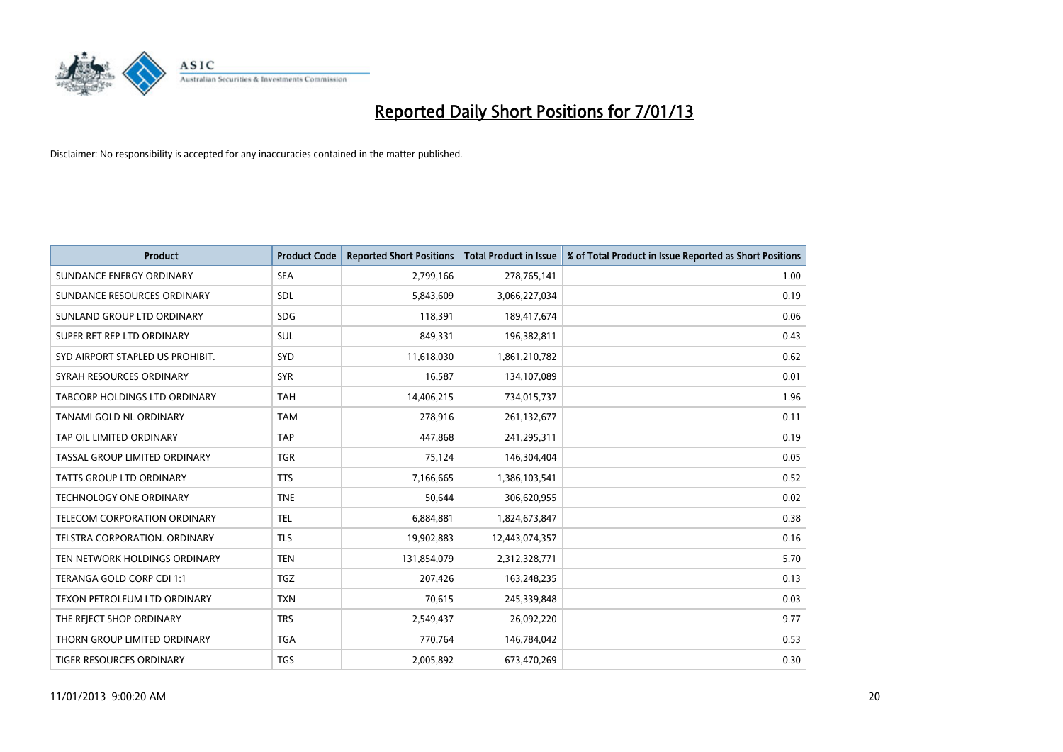

| <b>Product</b>                   | <b>Product Code</b> | <b>Reported Short Positions</b> | <b>Total Product in Issue</b> | % of Total Product in Issue Reported as Short Positions |
|----------------------------------|---------------------|---------------------------------|-------------------------------|---------------------------------------------------------|
| SUNDANCE ENERGY ORDINARY         | <b>SEA</b>          | 2,799,166                       | 278,765,141                   | 1.00                                                    |
| SUNDANCE RESOURCES ORDINARY      | <b>SDL</b>          | 5,843,609                       | 3,066,227,034                 | 0.19                                                    |
| SUNLAND GROUP LTD ORDINARY       | <b>SDG</b>          | 118,391                         | 189,417,674                   | 0.06                                                    |
| SUPER RET REP LTD ORDINARY       | <b>SUL</b>          | 849,331                         | 196,382,811                   | 0.43                                                    |
| SYD AIRPORT STAPLED US PROHIBIT. | <b>SYD</b>          | 11,618,030                      | 1,861,210,782                 | 0.62                                                    |
| SYRAH RESOURCES ORDINARY         | <b>SYR</b>          | 16,587                          | 134,107,089                   | 0.01                                                    |
| TABCORP HOLDINGS LTD ORDINARY    | <b>TAH</b>          | 14,406,215                      | 734,015,737                   | 1.96                                                    |
| TANAMI GOLD NL ORDINARY          | <b>TAM</b>          | 278,916                         | 261,132,677                   | 0.11                                                    |
| TAP OIL LIMITED ORDINARY         | <b>TAP</b>          | 447,868                         | 241,295,311                   | 0.19                                                    |
| TASSAL GROUP LIMITED ORDINARY    | <b>TGR</b>          | 75,124                          | 146,304,404                   | 0.05                                                    |
| TATTS GROUP LTD ORDINARY         | <b>TTS</b>          | 7,166,665                       | 1,386,103,541                 | 0.52                                                    |
| <b>TECHNOLOGY ONE ORDINARY</b>   | <b>TNE</b>          | 50,644                          | 306,620,955                   | 0.02                                                    |
| TELECOM CORPORATION ORDINARY     | <b>TEL</b>          | 6,884,881                       | 1,824,673,847                 | 0.38                                                    |
| TELSTRA CORPORATION. ORDINARY    | <b>TLS</b>          | 19,902,883                      | 12,443,074,357                | 0.16                                                    |
| TEN NETWORK HOLDINGS ORDINARY    | <b>TEN</b>          | 131,854,079                     | 2,312,328,771                 | 5.70                                                    |
| TERANGA GOLD CORP CDI 1:1        | <b>TGZ</b>          | 207,426                         | 163,248,235                   | 0.13                                                    |
| TEXON PETROLEUM LTD ORDINARY     | <b>TXN</b>          | 70,615                          | 245,339,848                   | 0.03                                                    |
| THE REJECT SHOP ORDINARY         | <b>TRS</b>          | 2,549,437                       | 26,092,220                    | 9.77                                                    |
| THORN GROUP LIMITED ORDINARY     | <b>TGA</b>          | 770,764                         | 146,784,042                   | 0.53                                                    |
| TIGER RESOURCES ORDINARY         | <b>TGS</b>          | 2,005,892                       | 673,470,269                   | 0.30                                                    |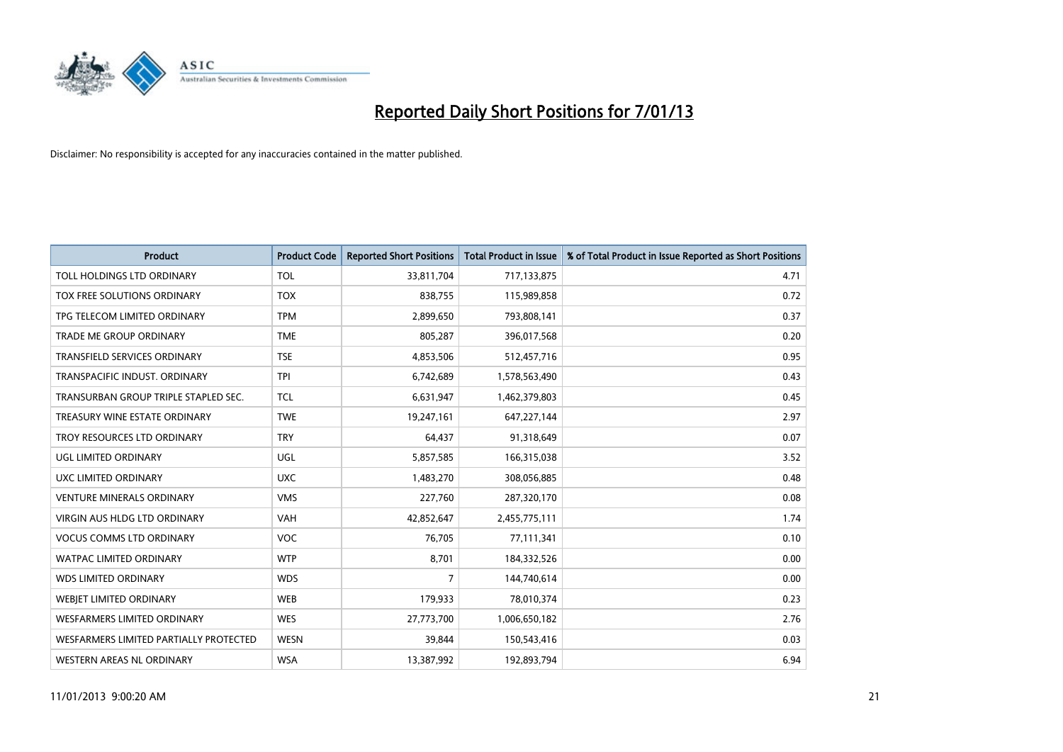

| <b>Product</b>                         | <b>Product Code</b> | <b>Reported Short Positions</b> | <b>Total Product in Issue</b> | % of Total Product in Issue Reported as Short Positions |
|----------------------------------------|---------------------|---------------------------------|-------------------------------|---------------------------------------------------------|
| TOLL HOLDINGS LTD ORDINARY             | <b>TOL</b>          | 33,811,704                      | 717,133,875                   | 4.71                                                    |
| TOX FREE SOLUTIONS ORDINARY            | <b>TOX</b>          | 838,755                         | 115,989,858                   | 0.72                                                    |
| TPG TELECOM LIMITED ORDINARY           | <b>TPM</b>          | 2,899,650                       | 793,808,141                   | 0.37                                                    |
| TRADE ME GROUP ORDINARY                | <b>TME</b>          | 805,287                         | 396,017,568                   | 0.20                                                    |
| <b>TRANSFIELD SERVICES ORDINARY</b>    | <b>TSE</b>          | 4,853,506                       | 512,457,716                   | 0.95                                                    |
| TRANSPACIFIC INDUST, ORDINARY          | <b>TPI</b>          | 6,742,689                       | 1,578,563,490                 | 0.43                                                    |
| TRANSURBAN GROUP TRIPLE STAPLED SEC.   | <b>TCL</b>          | 6,631,947                       | 1,462,379,803                 | 0.45                                                    |
| TREASURY WINE ESTATE ORDINARY          | <b>TWE</b>          | 19,247,161                      | 647,227,144                   | 2.97                                                    |
| TROY RESOURCES LTD ORDINARY            | <b>TRY</b>          | 64,437                          | 91,318,649                    | 0.07                                                    |
| <b>UGL LIMITED ORDINARY</b>            | <b>UGL</b>          | 5,857,585                       | 166,315,038                   | 3.52                                                    |
| UXC LIMITED ORDINARY                   | <b>UXC</b>          | 1,483,270                       | 308,056,885                   | 0.48                                                    |
| <b>VENTURE MINERALS ORDINARY</b>       | <b>VMS</b>          | 227,760                         | 287,320,170                   | 0.08                                                    |
| VIRGIN AUS HLDG LTD ORDINARY           | VAH                 | 42,852,647                      | 2,455,775,111                 | 1.74                                                    |
| <b>VOCUS COMMS LTD ORDINARY</b>        | <b>VOC</b>          | 76,705                          | 77,111,341                    | 0.10                                                    |
| <b>WATPAC LIMITED ORDINARY</b>         | <b>WTP</b>          | 8,701                           | 184,332,526                   | 0.00                                                    |
| <b>WDS LIMITED ORDINARY</b>            | <b>WDS</b>          | 7                               | 144,740,614                   | 0.00                                                    |
| WEBIET LIMITED ORDINARY                | <b>WEB</b>          | 179,933                         | 78,010,374                    | 0.23                                                    |
| <b>WESFARMERS LIMITED ORDINARY</b>     | <b>WES</b>          | 27,773,700                      | 1,006,650,182                 | 2.76                                                    |
| WESFARMERS LIMITED PARTIALLY PROTECTED | <b>WESN</b>         | 39,844                          | 150,543,416                   | 0.03                                                    |
| WESTERN AREAS NL ORDINARY              | <b>WSA</b>          | 13,387,992                      | 192,893,794                   | 6.94                                                    |